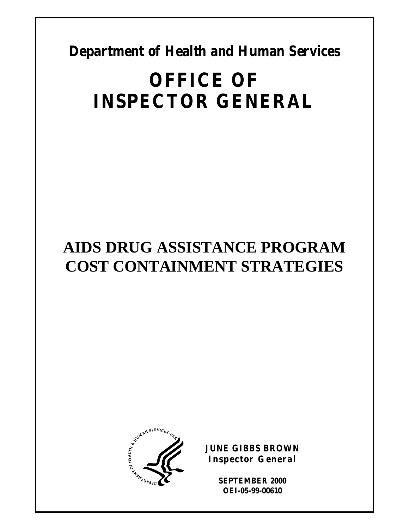**Department of Health and Human Services** 

# **OFFICE OF INSPECTOR GENERAL**

## **AIDS DRUG ASSISTANCE PROGRAM COST CONTAINMENT STRATEGIES**



**JUNE GIBBS BROWN Inspector General** 

> **SEPTEMBER 2000 OEI-05-99-00610**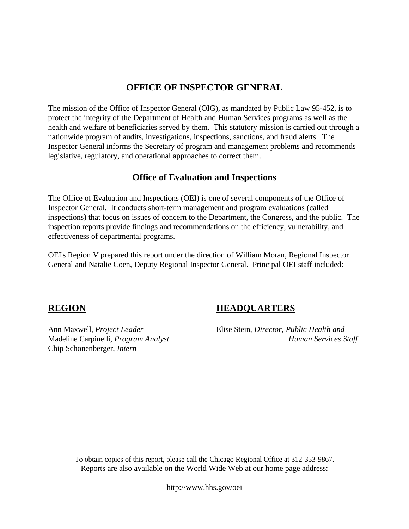### **OFFICE OF INSPECTOR GENERAL**

The mission of the Office of Inspector General (OIG), as mandated by Public Law 95-452, is to protect the integrity of the Department of Health and Human Services programs as well as the health and welfare of beneficiaries served by them. This statutory mission is carried out through a nationwide program of audits, investigations, inspections, sanctions, and fraud alerts. The Inspector General informs the Secretary of program and management problems and recommends legislative, regulatory, and operational approaches to correct them.

#### **Office of Evaluation and Inspections**

The Office of Evaluation and Inspections (OEI) is one of several components of the Office of Inspector General. It conducts short-term management and program evaluations (called inspections) that focus on issues of concern to the Department, the Congress, and the public. The inspection reports provide findings and recommendations on the efficiency, vulnerability, and effectiveness of departmental programs.

OEI's Region V prepared this report under the direction of William Moran, Regional Inspector General and Natalie Coen, Deputy Regional Inspector General. Principal OEI staff included:

Chip Schonenberger, *Intern* 

### **REGION HEADQUARTERS**

Ann Maxwell, *Project Leader* Elise Stein, *Director, Public Health and*  Madeline Carpinelli, *Program Analyst* **Human Services Staff** *Human Services Staff* 

To obtain copies of this report, please call the Chicago Regional Office at 312-353-9867. Reports are also available on the World Wide Web at our home page address:

http://www.hhs.gov/oei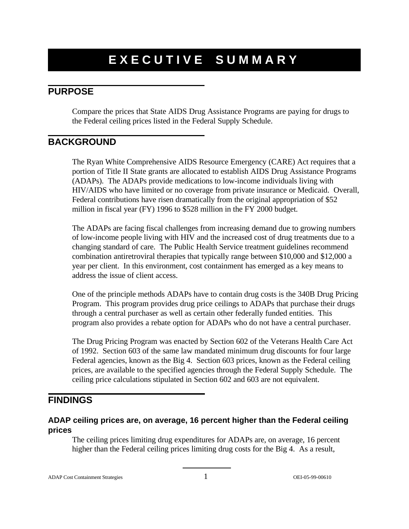## **EXECUTIVE SUMMARY**

### **PURPOSE**

Compare the prices that State AIDS Drug Assistance Programs are paying for drugs to the Federal ceiling prices listed in the Federal Supply Schedule.

### **BACKGROUND**

The Ryan White Comprehensive AIDS Resource Emergency (CARE) Act requires that a portion of Title II State grants are allocated to establish AIDS Drug Assistance Programs (ADAPs). The ADAPs provide medications to low-income individuals living with HIV/AIDS who have limited or no coverage from private insurance or Medicaid. Overall, Federal contributions have risen dramatically from the original appropriation of \$52 million in fiscal year (FY) 1996 to \$528 million in the FY 2000 budget.

The ADAPs are facing fiscal challenges from increasing demand due to growing numbers of low-income people living with HIV and the increased cost of drug treatments due to a changing standard of care. The Public Health Service treatment guidelines recommend combination antiretroviral therapies that typically range between \$10,000 and \$12,000 a year per client. In this environment, cost containment has emerged as a key means to address the issue of client access.

One of the principle methods ADAPs have to contain drug costs is the 340B Drug Pricing Program. This program provides drug price ceilings to ADAPs that purchase their drugs through a central purchaser as well as certain other federally funded entities. This program also provides a rebate option for ADAPs who do not have a central purchaser.

The Drug Pricing Program was enacted by Section 602 of the Veterans Health Care Act of 1992. Section 603 of the same law mandated minimum drug discounts for four large Federal agencies, known as the Big 4. Section 603 prices, known as the Federal ceiling prices, are available to the specified agencies through the Federal Supply Schedule. The ceiling price calculations stipulated in Section 602 and 603 are not equivalent.

### **FINDINGS**

#### **ADAP ceiling prices are, on average, 16 percent higher than the Federal ceiling prices**

The ceiling prices limiting drug expenditures for ADAPs are, on average, 16 percent higher than the Federal ceiling prices limiting drug costs for the Big 4. As a result,

ADAP Cost Containment Strategies 1 OEI-05-99-00610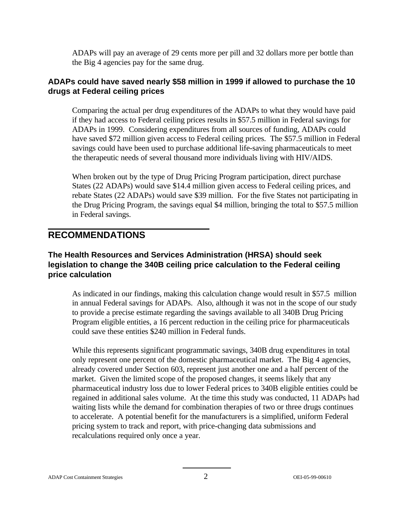ADAPs will pay an average of 29 cents more per pill and 32 dollars more per bottle than the Big 4 agencies pay for the same drug.

#### **ADAPs could have saved nearly \$58 million in 1999 if allowed to purchase the 10 drugs at Federal ceiling prices**

Comparing the actual per drug expenditures of the ADAPs to what they would have paid if they had access to Federal ceiling prices results in \$57.5 million in Federal savings for ADAPs in 1999. Considering expenditures from all sources of funding, ADAPs could have saved \$72 million given access to Federal ceiling prices. The \$57.5 million in Federal savings could have been used to purchase additional life-saving pharmaceuticals to meet the therapeutic needs of several thousand more individuals living with HIV/AIDS.

When broken out by the type of Drug Pricing Program participation, direct purchase States (22 ADAPs) would save \$14.4 million given access to Federal ceiling prices, and rebate States (22 ADAPs) would save \$39 million. For the five States not participating in the Drug Pricing Program, the savings equal \$4 million, bringing the total to \$57.5 million in Federal savings.

#### **RECOMMENDATIONS**

#### **The Health Resources and Services Administration (HRSA) should seek legislation to change the 340B ceiling price calculation to the Federal ceiling price calculation**

As indicated in our findings, making this calculation change would result in \$57.5 million in annual Federal savings for ADAPs. Also, although it was not in the scope of our study to provide a precise estimate regarding the savings available to all 340B Drug Pricing Program eligible entities, a 16 percent reduction in the ceiling price for pharmaceuticals could save these entities \$240 million in Federal funds.

While this represents significant programmatic savings, 340B drug expenditures in total only represent one percent of the domestic pharmaceutical market. The Big 4 agencies, already covered under Section 603, represent just another one and a half percent of the market. Given the limited scope of the proposed changes, it seems likely that any pharmaceutical industry loss due to lower Federal prices to 340B eligible entities could be regained in additional sales volume. At the time this study was conducted, 11 ADAPs had waiting lists while the demand for combination therapies of two or three drugs continues to accelerate. A potential benefit for the manufacturers is a simplified, uniform Federal pricing system to track and report, with price-changing data submissions and recalculations required only once a year.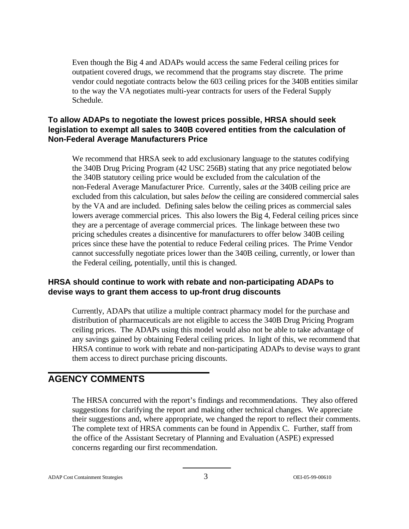Even though the Big 4 and ADAPs would access the same Federal ceiling prices for outpatient covered drugs, we recommend that the programs stay discrete. The prime vendor could negotiate contracts below the 603 ceiling prices for the 340B entities similar to the way the VA negotiates multi-year contracts for users of the Federal Supply Schedule.

#### **To allow ADAPs to negotiate the lowest prices possible, HRSA should seek legislation to exempt all sales to 340B covered entities from the calculation of Non-Federal Average Manufacturers Price**

We recommend that HRSA seek to add exclusionary language to the statutes codifying the 340B Drug Pricing Program (42 USC 256B) stating that any price negotiated below the 340B statutory ceiling price would be excluded from the calculation of the non-Federal Average Manufacturer Price. Currently, sales *at* the 340B ceiling price are excluded from this calculation, but sales *below* the ceiling are considered commercial sales by the VA and are included. Defining sales below the ceiling prices as commercial sales lowers average commercial prices. This also lowers the Big 4, Federal ceiling prices since they are a percentage of average commercial prices. The linkage between these two pricing schedules creates a disincentive for manufacturers to offer below 340B ceiling prices since these have the potential to reduce Federal ceiling prices. The Prime Vendor cannot successfully negotiate prices lower than the 340B ceiling, currently, or lower than the Federal ceiling, potentially, until this is changed.

#### **HRSA should continue to work with rebate and non-participating ADAPs to devise ways to grant them access to up-front drug discounts**

Currently, ADAPs that utilize a multiple contract pharmacy model for the purchase and distribution of pharmaceuticals are not eligible to access the 340B Drug Pricing Program ceiling prices. The ADAPs using this model would also not be able to take advantage of any savings gained by obtaining Federal ceiling prices. In light of this, we recommend that HRSA continue to work with rebate and non-participating ADAPs to devise ways to grant them access to direct purchase pricing discounts.

### **AGENCY COMMENTS**

The HRSA concurred with the report's findings and recommendations. They also offered suggestions for clarifying the report and making other technical changes. We appreciate their suggestions and, where appropriate, we changed the report to reflect their comments. The complete text of HRSA comments can be found in Appendix C. Further, staff from the office of the Assistant Secretary of Planning and Evaluation (ASPE) expressed concerns regarding our first recommendation.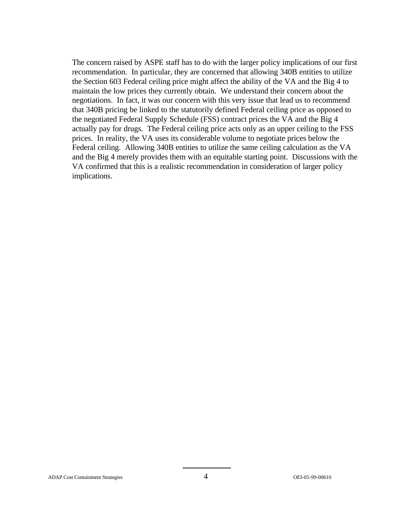The concern raised by ASPE staff has to do with the larger policy implications of our first recommendation. In particular, they are concerned that allowing 340B entities to utilize the Section 603 Federal ceiling price might affect the ability of the VA and the Big 4 to maintain the low prices they currently obtain. We understand their concern about the negotiations. In fact, it was our concern with this very issue that lead us to recommend that 340B pricing be linked to the statutorily defined Federal ceiling price as opposed to the negotiated Federal Supply Schedule (FSS) contract prices the VA and the Big 4 actually pay for drugs. The Federal ceiling price acts only as an upper ceiling to the FSS prices. In reality, the VA uses its considerable volume to negotiate prices below the Federal ceiling. Allowing 340B entities to utilize the same ceiling calculation as the VA and the Big 4 merely provides them with an equitable starting point. Discussions with the VA confirmed that this is a realistic recommendation in consideration of larger policy implications.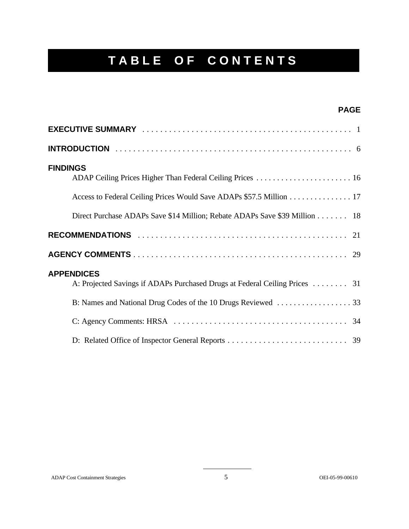## **TABLE OF CONTENTS**

| <b>PAGE</b>                                                                                                                                          |
|------------------------------------------------------------------------------------------------------------------------------------------------------|
|                                                                                                                                                      |
|                                                                                                                                                      |
| <b>FINDINGS</b><br>ADAP Ceiling Prices Higher Than Federal Ceiling Prices  16<br>Access to Federal Ceiling Prices Would Save ADAPs \$57.5 Million 17 |
| Direct Purchase ADAPs Save \$14 Million; Rebate ADAPs Save \$39 Million 18                                                                           |
|                                                                                                                                                      |
|                                                                                                                                                      |
| <b>APPENDICES</b><br>A: Projected Savings if ADAPs Purchased Drugs at Federal Ceiling Prices  31                                                     |
|                                                                                                                                                      |
|                                                                                                                                                      |
|                                                                                                                                                      |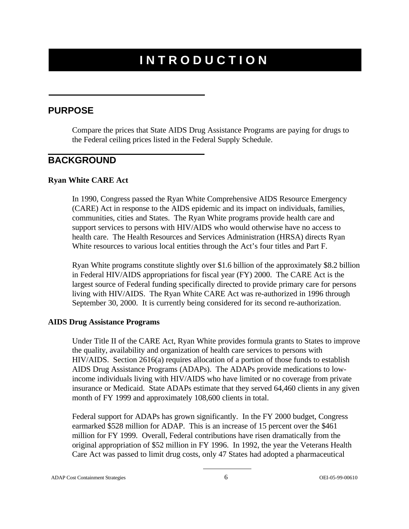## **INTRODUCTION**

#### **PURPOSE**

Compare the prices that State AIDS Drug Assistance Programs are paying for drugs to the Federal ceiling prices listed in the Federal Supply Schedule.

#### **BACKGROUND**

#### **Ryan White CARE Act**

In 1990, Congress passed the Ryan White Comprehensive AIDS Resource Emergency (CARE) Act in response to the AIDS epidemic and its impact on individuals, families, communities, cities and States. The Ryan White programs provide health care and support services to persons with HIV/AIDS who would otherwise have no access to health care. The Health Resources and Services Administration (HRSA) directs Ryan White resources to various local entities through the Act's four titles and Part F.

Ryan White programs constitute slightly over \$1.6 billion of the approximately \$8.2 billion in Federal HIV/AIDS appropriations for fiscal year (FY) 2000. The CARE Act is the largest source of Federal funding specifically directed to provide primary care for persons living with HIV/AIDS. The Ryan White CARE Act was re-authorized in 1996 through September 30, 2000. It is currently being considered for its second re-authorization.

#### **AIDS Drug Assistance Programs**

Under Title II of the CARE Act, Ryan White provides formula grants to States to improve the quality, availability and organization of health care services to persons with HIV/AIDS. Section 2616(a) requires allocation of a portion of those funds to establish AIDS Drug Assistance Programs (ADAPs). The ADAPs provide medications to lowincome individuals living with HIV/AIDS who have limited or no coverage from private insurance or Medicaid. State ADAPs estimate that they served 64,460 clients in any given month of FY 1999 and approximately 108,600 clients in total.

Federal support for ADAPs has grown significantly. In the FY 2000 budget, Congress earmarked \$528 million for ADAP. This is an increase of 15 percent over the \$461 million for FY 1999. Overall, Federal contributions have risen dramatically from the original appropriation of \$52 million in FY 1996. In 1992, the year the Veterans Health Care Act was passed to limit drug costs, only 47 States had adopted a pharmaceutical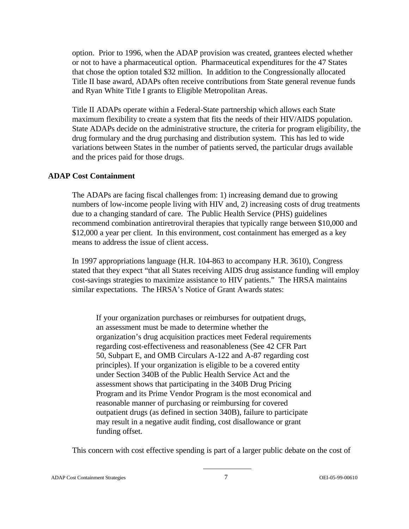option. Prior to 1996, when the ADAP provision was created, grantees elected whether or not to have a pharmaceutical option. Pharmaceutical expenditures for the 47 States that chose the option totaled \$32 million. In addition to the Congressionally allocated Title II base award, ADAPs often receive contributions from State general revenue funds and Ryan White Title I grants to Eligible Metropolitan Areas.

Title II ADAPs operate within a Federal-State partnership which allows each State maximum flexibility to create a system that fits the needs of their HIV/AIDS population. State ADAPs decide on the administrative structure, the criteria for program eligibility, the drug formulary and the drug purchasing and distribution system. This has led to wide variations between States in the number of patients served, the particular drugs available and the prices paid for those drugs.

#### **ADAP Cost Containment**

The ADAPs are facing fiscal challenges from: 1) increasing demand due to growing numbers of low-income people living with HIV and, 2) increasing costs of drug treatments due to a changing standard of care. The Public Health Service (PHS) guidelines recommend combination antiretroviral therapies that typically range between \$10,000 and \$12,000 a year per client. In this environment, cost containment has emerged as a key means to address the issue of client access.

In 1997 appropriations language (H.R. 104-863 to accompany H.R. 3610), Congress stated that they expect "that all States receiving AIDS drug assistance funding will employ cost-savings strategies to maximize assistance to HIV patients." The HRSA maintains similar expectations. The HRSA's Notice of Grant Awards states:

If your organization purchases or reimburses for outpatient drugs, an assessment must be made to determine whether the organization's drug acquisition practices meet Federal requirements regarding cost-effectiveness and reasonableness (See 42 CFR Part 50, Subpart E, and OMB Circulars A-122 and A-87 regarding cost principles). If your organization is eligible to be a covered entity under Section 340B of the Public Health Service Act and the assessment shows that participating in the 340B Drug Pricing Program and its Prime Vendor Program is the most economical and reasonable manner of purchasing or reimbursing for covered outpatient drugs (as defined in section 340B), failure to participate may result in a negative audit finding, cost disallowance or grant funding offset.

This concern with cost effective spending is part of a larger public debate on the cost of

ADAP Cost Containment Strategies 7 OEI-05-99-00610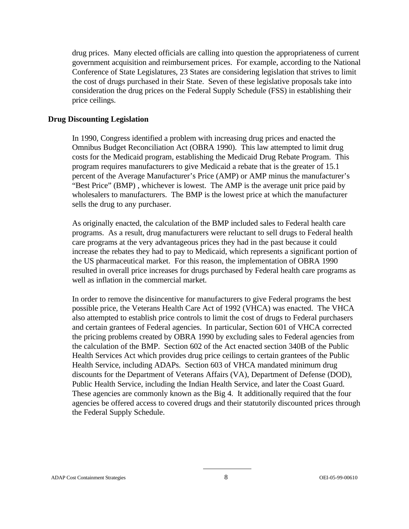drug prices. Many elected officials are calling into question the appropriateness of current government acquisition and reimbursement prices. For example, according to the National Conference of State Legislatures, 23 States are considering legislation that strives to limit the cost of drugs purchased in their State. Seven of these legislative proposals take into consideration the drug prices on the Federal Supply Schedule (FSS) in establishing their price ceilings.

#### **Drug Discounting Legislation**

In 1990, Congress identified a problem with increasing drug prices and enacted the Omnibus Budget Reconciliation Act (OBRA 1990). This law attempted to limit drug costs for the Medicaid program, establishing the Medicaid Drug Rebate Program. This program requires manufacturers to give Medicaid a rebate that is the greater of 15.1 percent of the Average Manufacturer's Price (AMP) or AMP minus the manufacturer's "Best Price" (BMP) , whichever is lowest. The AMP is the average unit price paid by wholesalers to manufacturers. The BMP is the lowest price at which the manufacturer sells the drug to any purchaser.

As originally enacted, the calculation of the BMP included sales to Federal health care programs. As a result, drug manufacturers were reluctant to sell drugs to Federal health care programs at the very advantageous prices they had in the past because it could increase the rebates they had to pay to Medicaid, which represents a significant portion of the US pharmaceutical market. For this reason, the implementation of OBRA 1990 resulted in overall price increases for drugs purchased by Federal health care programs as well as inflation in the commercial market.

In order to remove the disincentive for manufacturers to give Federal programs the best possible price, the Veterans Health Care Act of 1992 (VHCA) was enacted. The VHCA also attempted to establish price controls to limit the cost of drugs to Federal purchasers and certain grantees of Federal agencies. In particular, Section 601 of VHCA corrected the pricing problems created by OBRA 1990 by excluding sales to Federal agencies from the calculation of the BMP. Section 602 of the Act enacted section 340B of the Public Health Services Act which provides drug price ceilings to certain grantees of the Public Health Service, including ADAPs. Section 603 of VHCA mandated minimum drug discounts for the Department of Veterans Affairs (VA), Department of Defense (DOD), Public Health Service, including the Indian Health Service, and later the Coast Guard. These agencies are commonly known as the Big 4. It additionally required that the four agencies be offered access to covered drugs and their statutorily discounted prices through the Federal Supply Schedule.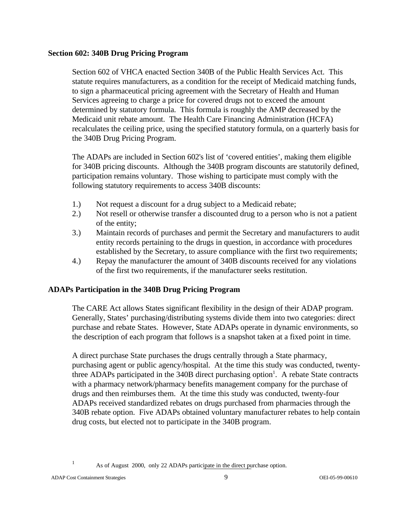#### **Section 602: 340B Drug Pricing Program**

Section 602 of VHCA enacted Section 340B of the Public Health Services Act. This statute requires manufacturers, as a condition for the receipt of Medicaid matching funds, to sign a pharmaceutical pricing agreement with the Secretary of Health and Human Services agreeing to charge a price for covered drugs not to exceed the amount determined by statutory formula. This formula is roughly the AMP decreased by the Medicaid unit rebate amount. The Health Care Financing Administration (HCFA) recalculates the ceiling price, using the specified statutory formula, on a quarterly basis for the 340B Drug Pricing Program.

The ADAPs are included in Section 602's list of 'covered entities', making them eligible for 340B pricing discounts. Although the 340B program discounts are statutorily defined, participation remains voluntary. Those wishing to participate must comply with the following statutory requirements to access 340B discounts:

- 1.) Not request a discount for a drug subject to a Medicaid rebate;
- 2.) Not resell or otherwise transfer a discounted drug to a person who is not a patient of the entity;
- 3.) Maintain records of purchases and permit the Secretary and manufacturers to audit entity records pertaining to the drugs in question, in accordance with procedures established by the Secretary, to assure compliance with the first two requirements;
- 4.) Repay the manufacturer the amount of 340B discounts received for any violations of the first two requirements, if the manufacturer seeks restitution.

#### **ADAPs Participation in the 340B Drug Pricing Program**

The CARE Act allows States significant flexibility in the design of their ADAP program. Generally, States' purchasing/distributing systems divide them into two categories: direct purchase and rebate States. However, State ADAPs operate in dynamic environments, so the description of each program that follows is a snapshot taken at a fixed point in time.

A direct purchase State purchases the drugs centrally through a State pharmacy, purchasing agent or public agency/hospital. At the time this study was conducted, twentythree ADAPs participated in the  $340B$  direct purchasing option<sup>1</sup>. A rebate State contracts with a pharmacy network/pharmacy benefits management company for the purchase of drugs and then reimburses them. At the time this study was conducted, twenty-four ADAPs received standardized rebates on drugs purchased from pharmacies through the 340B rebate option. Five ADAPs obtained voluntary manufacturer rebates to help contain drug costs, but elected not to participate in the 340B program.

<sup>1</sup> As of August 2000, only 22 ADAPs participate in the direct purchase option.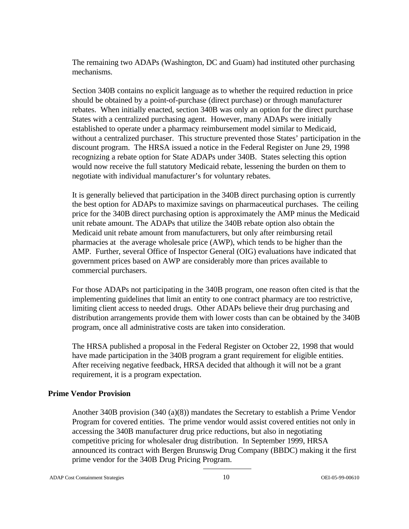The remaining two ADAPs (Washington, DC and Guam) had instituted other purchasing mechanisms.

Section 340B contains no explicit language as to whether the required reduction in price should be obtained by a point-of-purchase (direct purchase) or through manufacturer rebates. When initially enacted, section 340B was only an option for the direct purchase States with a centralized purchasing agent. However, many ADAPs were initially established to operate under a pharmacy reimbursement model similar to Medicaid, without a centralized purchaser. This structure prevented those States' participation in the discount program. The HRSA issued a notice in the Federal Register on June 29, 1998 recognizing a rebate option for State ADAPs under 340B. States selecting this option would now receive the full statutory Medicaid rebate, lessening the burden on them to negotiate with individual manufacturer's for voluntary rebates.

It is generally believed that participation in the 340B direct purchasing option is currently the best option for ADAPs to maximize savings on pharmaceutical purchases. The ceiling price for the 340B direct purchasing option is approximately the AMP minus the Medicaid unit rebate amount. The ADAPs that utilize the 340B rebate option also obtain the Medicaid unit rebate amount from manufacturers, but only after reimbursing retail pharmacies at the average wholesale price (AWP), which tends to be higher than the AMP. Further, several Office of Inspector General (OIG) evaluations have indicated that government prices based on AWP are considerably more than prices available to commercial purchasers.

For those ADAPs not participating in the 340B program, one reason often cited is that the implementing guidelines that limit an entity to one contract pharmacy are too restrictive, limiting client access to needed drugs. Other ADAPs believe their drug purchasing and distribution arrangements provide them with lower costs than can be obtained by the 340B program, once all administrative costs are taken into consideration.

The HRSA published a proposal in the Federal Register on October 22, 1998 that would have made participation in the 340B program a grant requirement for eligible entities. After receiving negative feedback, HRSA decided that although it will not be a grant requirement, it is a program expectation.

#### **Prime Vendor Provision**

Another 340B provision (340 (a)(8)) mandates the Secretary to establish a Prime Vendor Program for covered entities. The prime vendor would assist covered entities not only in accessing the 340B manufacturer drug price reductions, but also in negotiating competitive pricing for wholesaler drug distribution. In September 1999, HRSA announced its contract with Bergen Brunswig Drug Company (BBDC) making it the first prime vendor for the 340B Drug Pricing Program.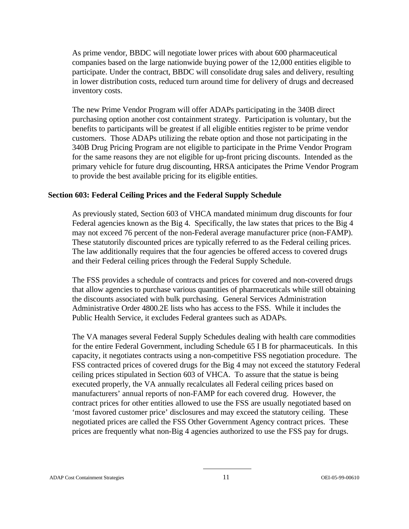As prime vendor, BBDC will negotiate lower prices with about 600 pharmaceutical companies based on the large nationwide buying power of the 12,000 entities eligible to participate. Under the contract, BBDC will consolidate drug sales and delivery, resulting in lower distribution costs, reduced turn around time for delivery of drugs and decreased inventory costs.

The new Prime Vendor Program will offer ADAPs participating in the 340B direct purchasing option another cost containment strategy. Participation is voluntary, but the benefits to participants will be greatest if all eligible entities register to be prime vendor customers. Those ADAPs utilizing the rebate option and those not participating in the 340B Drug Pricing Program are not eligible to participate in the Prime Vendor Program for the same reasons they are not eligible for up-front pricing discounts. Intended as the primary vehicle for future drug discounting, HRSA anticipates the Prime Vendor Program to provide the best available pricing for its eligible entities.

#### **Section 603: Federal Ceiling Prices and the Federal Supply Schedule**

As previously stated, Section 603 of VHCA mandated minimum drug discounts for four Federal agencies known as the Big 4. Specifically, the law states that prices to the Big 4 may not exceed 76 percent of the non-Federal average manufacturer price (non-FAMP). These statutorily discounted prices are typically referred to as the Federal ceiling prices. The law additionally requires that the four agencies be offered access to covered drugs and their Federal ceiling prices through the Federal Supply Schedule.

The FSS provides a schedule of contracts and prices for covered and non-covered drugs that allow agencies to purchase various quantities of pharmaceuticals while still obtaining the discounts associated with bulk purchasing. General Services Administration Administrative Order 4800.2E lists who has access to the FSS. While it includes the Public Health Service, it excludes Federal grantees such as ADAPs.

The VA manages several Federal Supply Schedules dealing with health care commodities for the entire Federal Government, including Schedule 65 I B for pharmaceuticals. In this capacity, it negotiates contracts using a non-competitive FSS negotiation procedure. The FSS contracted prices of covered drugs for the Big 4 may not exceed the statutory Federal ceiling prices stipulated in Section 603 of VHCA. To assure that the statue is being executed properly, the VA annually recalculates all Federal ceiling prices based on manufacturers' annual reports of non-FAMP for each covered drug. However, the contract prices for other entities allowed to use the FSS are usually negotiated based on 'most favored customer price' disclosures and may exceed the statutory ceiling. These negotiated prices are called the FSS Other Government Agency contract prices. These prices are frequently what non-Big 4 agencies authorized to use the FSS pay for drugs.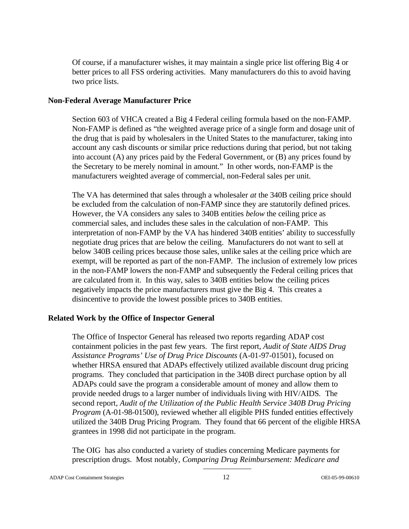Of course, if a manufacturer wishes, it may maintain a single price list offering Big 4 or better prices to all FSS ordering activities. Many manufacturers do this to avoid having two price lists.

#### **Non-Federal Average Manufacturer Price**

Section 603 of VHCA created a Big 4 Federal ceiling formula based on the non-FAMP. Non-FAMP is defined as "the weighted average price of a single form and dosage unit of the drug that is paid by wholesalers in the United States to the manufacturer, taking into account any cash discounts or similar price reductions during that period, but not taking into account (A) any prices paid by the Federal Government, or (B) any prices found by the Secretary to be merely nominal in amount." In other words, non-FAMP is the manufacturers weighted average of commercial, non-Federal sales per unit.

The VA has determined that sales through a wholesaler *at* the 340B ceiling price should be excluded from the calculation of non-FAMP since they are statutorily defined prices. However, the VA considers any sales to 340B entities *below* the ceiling price as commercial sales, and includes these sales in the calculation of non-FAMP. This interpretation of non-FAMP by the VA has hindered 340B entities' ability to successfully negotiate drug prices that are below the ceiling. Manufacturers do not want to sell at below 340B ceiling prices because those sales, unlike sales at the ceiling price which are exempt, will be reported as part of the non-FAMP. The inclusion of extremely low prices in the non-FAMP lowers the non-FAMP and subsequently the Federal ceiling prices that are calculated from it. In this way, sales to 340B entities below the ceiling prices negatively impacts the price manufacturers must give the Big 4. This creates a disincentive to provide the lowest possible prices to 340B entities.

#### **Related Work by the Office of Inspector General**

The Office of Inspector General has released two reports regarding ADAP cost containment policies in the past few years. The first report*, Audit of State AIDS Drug Assistance Programs' Use of Drug Price Discounts* (A-01-97-01501), focused on whether HRSA ensured that ADAPs effectively utilized available discount drug pricing programs. They concluded that participation in the 340B direct purchase option by all ADAPs could save the program a considerable amount of money and allow them to provide needed drugs to a larger number of individuals living with HIV/AIDS*.* The second report*, Audit of the Utilization of the Public Health Service 340B Drug Pricing Program* (A-01-98-01500), reviewed whether all eligible PHS funded entities effectively utilized the 340B Drug Pricing Program. They found that 66 percent of the eligible HRSA grantees in 1998 did not participate in the program.

The OIG has also conducted a variety of studies concerning Medicare payments for prescription drugs. Most notably, *Comparing Drug Reimbursement: Medicare and*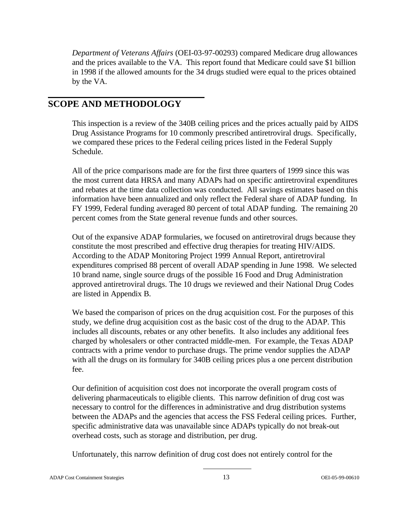*Department of Veterans Affairs* (OEI-03-97-00293) compared Medicare drug allowances and the prices available to the VA. This report found that Medicare could save \$1 billion in 1998 if the allowed amounts for the 34 drugs studied were equal to the prices obtained by the VA.

### **SCOPE AND METHODOLOGY**

This inspection is a review of the 340B ceiling prices and the prices actually paid by AIDS Drug Assistance Programs for 10 commonly prescribed antiretroviral drugs. Specifically, we compared these prices to the Federal ceiling prices listed in the Federal Supply Schedule.

All of the price comparisons made are for the first three quarters of 1999 since this was the most current data HRSA and many ADAPs had on specific antiretroviral expenditures and rebates at the time data collection was conducted. All savings estimates based on this information have been annualized and only reflect the Federal share of ADAP funding. In FY 1999, Federal funding averaged 80 percent of total ADAP funding. The remaining 20 percent comes from the State general revenue funds and other sources.

Out of the expansive ADAP formularies, we focused on antiretroviral drugs because they constitute the most prescribed and effective drug therapies for treating HIV/AIDS. According to the ADAP Monitoring Project 1999 Annual Report, antiretroviral expenditures comprised 88 percent of overall ADAP spending in June 1998. We selected 10 brand name, single source drugs of the possible 16 Food and Drug Administration approved antiretroviral drugs. The 10 drugs we reviewed and their National Drug Codes are listed in Appendix B.

We based the comparison of prices on the drug acquisition cost. For the purposes of this study, we define drug acquisition cost as the basic cost of the drug to the ADAP. This includes all discounts, rebates or any other benefits. It also includes any additional fees charged by wholesalers or other contracted middle-men. For example, the Texas ADAP contracts with a prime vendor to purchase drugs. The prime vendor supplies the ADAP with all the drugs on its formulary for 340B ceiling prices plus a one percent distribution fee.

Our definition of acquisition cost does not incorporate the overall program costs of delivering pharmaceuticals to eligible clients. This narrow definition of drug cost was necessary to control for the differences in administrative and drug distribution systems between the ADAPs and the agencies that access the FSS Federal ceiling prices. Further, specific administrative data was unavailable since ADAPs typically do not break-out overhead costs, such as storage and distribution, per drug.

Unfortunately, this narrow definition of drug cost does not entirely control for the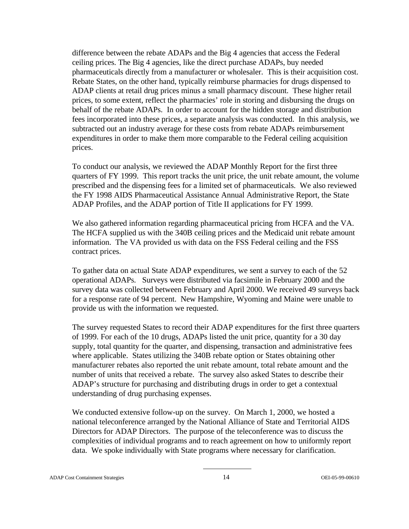difference between the rebate ADAPs and the Big 4 agencies that access the Federal ceiling prices. The Big 4 agencies, like the direct purchase ADAPs, buy needed pharmaceuticals directly from a manufacturer or wholesaler. This is their acquisition cost. Rebate States, on the other hand, typically reimburse pharmacies for drugs dispensed to ADAP clients at retail drug prices minus a small pharmacy discount. These higher retail prices, to some extent, reflect the pharmacies' role in storing and disbursing the drugs on behalf of the rebate ADAPs. In order to account for the hidden storage and distribution fees incorporated into these prices, a separate analysis was conducted. In this analysis, we subtracted out an industry average for these costs from rebate ADAPs reimbursement expenditures in order to make them more comparable to the Federal ceiling acquisition prices.

To conduct our analysis, we reviewed the ADAP Monthly Report for the first three quarters of FY 1999. This report tracks the unit price, the unit rebate amount, the volume prescribed and the dispensing fees for a limited set of pharmaceuticals. We also reviewed the FY 1998 AIDS Pharmaceutical Assistance Annual Administrative Report, the State ADAP Profiles, and the ADAP portion of Title II applications for FY 1999.

We also gathered information regarding pharmaceutical pricing from HCFA and the VA. The HCFA supplied us with the 340B ceiling prices and the Medicaid unit rebate amount information. The VA provided us with data on the FSS Federal ceiling and the FSS contract prices.

To gather data on actual State ADAP expenditures, we sent a survey to each of the 52 operational ADAPs. Surveys were distributed via facsimile in February 2000 and the survey data was collected between February and April 2000. We received 49 surveys back for a response rate of 94 percent. New Hampshire, Wyoming and Maine were unable to provide us with the information we requested.

The survey requested States to record their ADAP expenditures for the first three quarters of 1999. For each of the 10 drugs, ADAPs listed the unit price, quantity for a 30 day supply, total quantity for the quarter, and dispensing, transaction and administrative fees where applicable. States utilizing the 340B rebate option or States obtaining other manufacturer rebates also reported the unit rebate amount, total rebate amount and the number of units that received a rebate. The survey also asked States to describe their ADAP's structure for purchasing and distributing drugs in order to get a contextual understanding of drug purchasing expenses.

We conducted extensive follow-up on the survey. On March 1, 2000, we hosted a national teleconference arranged by the National Alliance of State and Territorial AIDS Directors for ADAP Directors. The purpose of the teleconference was to discuss the complexities of individual programs and to reach agreement on how to uniformly report data. We spoke individually with State programs where necessary for clarification.

#### ADAP Cost Containment Strategies 14 OEI-05-99-00610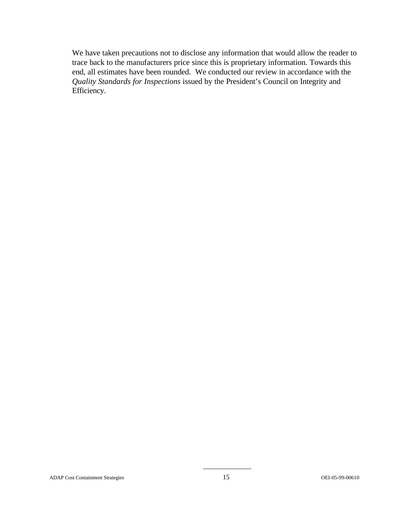We have taken precautions not to disclose any information that would allow the reader to trace back to the manufacturers price since this is proprietary information. Towards this end, all estimates have been rounded. We conducted our review in accordance with the *Quality Standards for Inspections* issued by the President's Council on Integrity and Efficiency.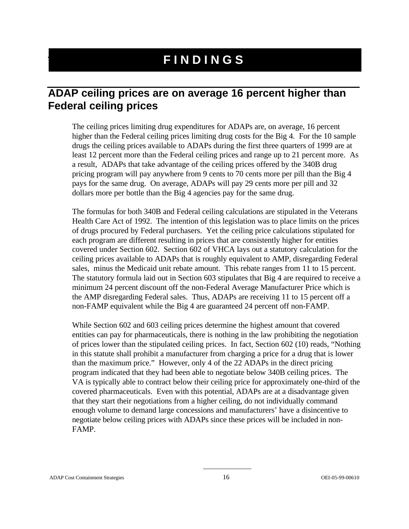## **FINDINGS**

## **ADAP ceiling prices are on average 16 percent higher than Federal ceiling prices**

The ceiling prices limiting drug expenditures for ADAPs are, on average, 16 percent higher than the Federal ceiling prices limiting drug costs for the Big 4. For the 10 sample drugs the ceiling prices available to ADAPs during the first three quarters of 1999 are at least 12 percent more than the Federal ceiling prices and range up to 21 percent more. As a result, ADAPs that take advantage of the ceiling prices offered by the 340B drug pricing program will pay anywhere from 9 cents to 70 cents more per pill than the Big 4 pays for the same drug. On average, ADAPs will pay 29 cents more per pill and 32 dollars more per bottle than the Big 4 agencies pay for the same drug.

The formulas for both 340B and Federal ceiling calculations are stipulated in the Veterans Health Care Act of 1992. The intention of this legislation was to place limits on the prices of drugs procured by Federal purchasers. Yet the ceiling price calculations stipulated for each program are different resulting in prices that are consistently higher for entities covered under Section 602. Section 602 of VHCA lays out a statutory calculation for the ceiling prices available to ADAPs that is roughly equivalent to AMP, disregarding Federal sales, minus the Medicaid unit rebate amount. This rebate ranges from 11 to 15 percent. The statutory formula laid out in Section 603 stipulates that Big 4 are required to receive a minimum 24 percent discount off the non-Federal Average Manufacturer Price which is the AMP disregarding Federal sales. Thus, ADAPs are receiving 11 to 15 percent off a non-FAMP equivalent while the Big 4 are guaranteed 24 percent off non-FAMP.

While Section 602 and 603 ceiling prices determine the highest amount that covered entities can pay for pharmaceuticals, there is nothing in the law prohibiting the negotiation of prices lower than the stipulated ceiling prices. In fact, Section 602 (10) reads, "Nothing in this statute shall prohibit a manufacturer from charging a price for a drug that is lower than the maximum price." However, only 4 of the 22 ADAPs in the direct pricing program indicated that they had been able to negotiate below 340B ceiling prices. The VA is typically able to contract below their ceiling price for approximately one-third of the covered pharmaceuticals. Even with this potential, ADAPs are at a disadvantage given that they start their negotiations from a higher ceiling, do not individually command enough volume to demand large concessions and manufacturers' have a disincentive to negotiate below ceiling prices with ADAPs since these prices will be included in non-FAMP.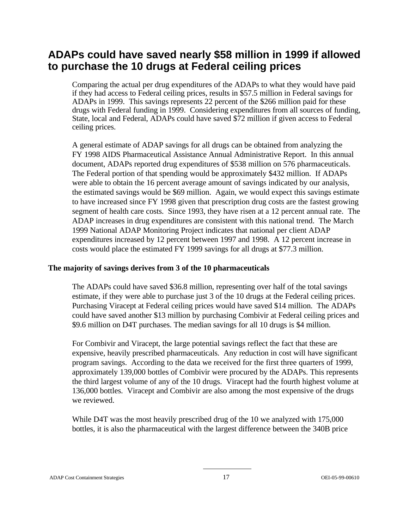## **ADAPs could have saved nearly \$58 million in 1999 if allowed to purchase the 10 drugs at Federal ceiling prices**

Comparing the actual per drug expenditures of the ADAPs to what they would have paid if they had access to Federal ceiling prices, results in \$57.5 million in Federal savings for ADAPs in 1999. This savings represents 22 percent of the \$266 million paid for these drugs with Federal funding in 1999. Considering expenditures from all sources of funding, State, local and Federal, ADAPs could have saved \$72 million if given access to Federal ceiling prices.

A general estimate of ADAP savings for all drugs can be obtained from analyzing the FY 1998 AIDS Pharmaceutical Assistance Annual Administrative Report. In this annual document, ADAPs reported drug expenditures of \$538 million on 576 pharmaceuticals. The Federal portion of that spending would be approximately \$432 million. If ADAPs were able to obtain the 16 percent average amount of savings indicated by our analysis, the estimated savings would be \$69 million. Again, we would expect this savings estimate to have increased since FY 1998 given that prescription drug costs are the fastest growing segment of health care costs. Since 1993, they have risen at a 12 percent annual rate. The ADAP increases in drug expenditures are consistent with this national trend. The March 1999 National ADAP Monitoring Project indicates that national per client ADAP expenditures increased by 12 percent between 1997 and 1998. A 12 percent increase in costs would place the estimated FY 1999 savings for all drugs at \$77.3 million.

#### **The majority of savings derives from 3 of the 10 pharmaceuticals**

The ADAPs could have saved \$36.8 million, representing over half of the total savings estimate, if they were able to purchase just 3 of the 10 drugs at the Federal ceiling prices. Purchasing Viracept at Federal ceiling prices would have saved \$14 million. The ADAPs could have saved another \$13 million by purchasing Combivir at Federal ceiling prices and \$9.6 million on D4T purchases. The median savings for all 10 drugs is \$4 million.

For Combivir and Viracept, the large potential savings reflect the fact that these are expensive, heavily prescribed pharmaceuticals. Any reduction in cost will have significant program savings. According to the data we received for the first three quarters of 1999, approximately 139,000 bottles of Combivir were procured by the ADAPs. This represents the third largest volume of any of the 10 drugs. Viracept had the fourth highest volume at 136,000 bottles. Viracept and Combivir are also among the most expensive of the drugs we reviewed.

While D4T was the most heavily prescribed drug of the 10 we analyzed with 175,000 bottles, it is also the pharmaceutical with the largest difference between the 340B price

#### ADAP Cost Containment Strategies 17 OEI-05-99-00610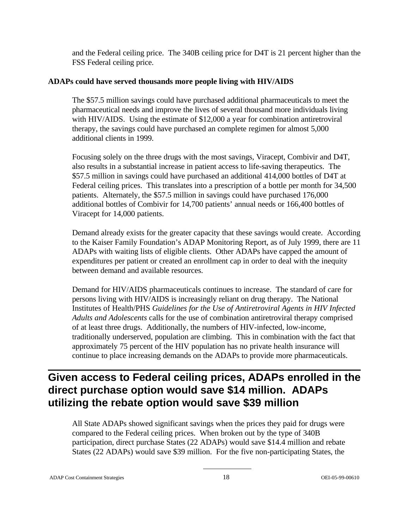and the Federal ceiling price. The 340B ceiling price for D4T is 21 percent higher than the FSS Federal ceiling price.

#### **ADAPs could have served thousands more people living with HIV/AIDS**

The \$57.5 million savings could have purchased additional pharmaceuticals to meet the pharmaceutical needs and improve the lives of several thousand more individuals living with HIV/AIDS. Using the estimate of \$12,000 a year for combination antiretroviral therapy, the savings could have purchased an complete regimen for almost 5,000 additional clients in 1999.

Focusing solely on the three drugs with the most savings, Viracept, Combivir and D4T, also results in a substantial increase in patient access to life-saving therapeutics. The \$57.5 million in savings could have purchased an additional 414,000 bottles of D4T at Federal ceiling prices. This translates into a prescription of a bottle per month for 34,500 patients. Alternately, the \$57.5 million in savings could have purchased 176,000 additional bottles of Combivir for 14,700 patients' annual needs or 166,400 bottles of Viracept for 14,000 patients.

Demand already exists for the greater capacity that these savings would create. According to the Kaiser Family Foundation's ADAP Monitoring Report, as of July 1999, there are 11 ADAPs with waiting lists of eligible clients. Other ADAPs have capped the amount of expenditures per patient or created an enrollment cap in order to deal with the inequity between demand and available resources.

Demand for HIV/AIDS pharmaceuticals continues to increase. The standard of care for persons living with HIV/AIDS is increasingly reliant on drug therapy. The National Institutes of Health/PHS *Guidelines for the Use of Antiretroviral Agents in HIV Infected Adults and Adolescents* calls for the use of combination antiretroviral therapy comprised of at least three drugs. Additionally, the numbers of HIV-infected, low-income, traditionally underserved, population are climbing. This in combination with the fact that approximately 75 percent of the HIV population has no private health insurance will continue to place increasing demands on the ADAPs to provide more pharmaceuticals.

## **Given access to Federal ceiling prices, ADAPs enrolled in the direct purchase option would save \$14 million. ADAPs utilizing the rebate option would save \$39 million**

All State ADAPs showed significant savings when the prices they paid for drugs were compared to the Federal ceiling prices. When broken out by the type of 340B participation, direct purchase States (22 ADAPs) would save \$14.4 million and rebate States (22 ADAPs) would save \$39 million. For the five non-participating States, the

ADAP Cost Containment Strategies 18 OEI-05-99-00610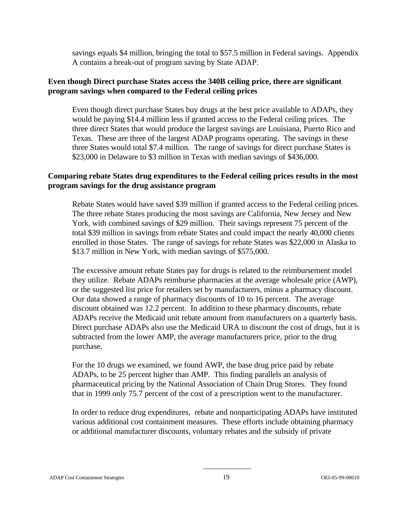savings equals \$4 million, bringing the total to \$57.5 million in Federal savings. Appendix A contains a break-out of program saving by State ADAP.

#### **Even though Direct purchase States access the 340B ceiling price, there are significant program savings when compared to the Federal ceiling prices**

Even though direct purchase States buy drugs at the best price available to ADAPs, they would be paying \$14.4 million less if granted access to the Federal ceiling prices. The three direct States that would produce the largest savings are Louisiana, Puerto Rico and Texas. These are three of the largest ADAP programs operating. The savings in these three States would total \$7.4 million. The range of savings for direct purchase States is \$23,000 in Delaware to \$3 million in Texas with median savings of \$436,000.

#### **Comparing rebate States drug expenditures to the Federal ceiling prices results in the most program savings for the drug assistance program**

Rebate States would have saved \$39 million if granted access to the Federal ceiling prices. The three rebate States producing the most savings are California, New Jersey and New York, with combined savings of \$29 million. Their savings represent 75 percent of the total \$39 million in savings from rebate States and could impact the nearly 40,000 clients enrolled in those States. The range of savings for rebate States was \$22,000 in Alaska to \$13.7 million in New York, with median savings of \$575,000.

The excessive amount rebate States pay for drugs is related to the reimbursement model they utilize. Rebate ADAPs reimburse pharmacies at the average wholesale price (AWP), or the suggested list price for retailers set by manufacturers, minus a pharmacy discount. Our data showed a range of pharmacy discounts of 10 to 16 percent. The average discount obtained was 12.2 percent. In addition to these pharmacy discounts, rebate ADAPs receive the Medicaid unit rebate amount from manufacturers on a quarterly basis. Direct purchase ADAPs also use the Medicaid URA to discount the cost of drugs, but it is subtracted from the lower AMP, the average manufacturers price, prior to the drug purchase.

For the 10 drugs we examined, we found AWP, the base drug price paid by rebate ADAPs, to be 25 percent higher than AMP. This finding parallels an analysis of pharmaceutical pricing by the National Association of Chain Drug Stores. They found that in 1999 only 75.7 percent of the cost of a prescription went to the manufacturer.

In order to reduce drug expenditures, rebate and nonparticipating ADAPs have instituted various additional cost containment measures. These efforts include obtaining pharmacy or additional manufacturer discounts, voluntary rebates and the subsidy of private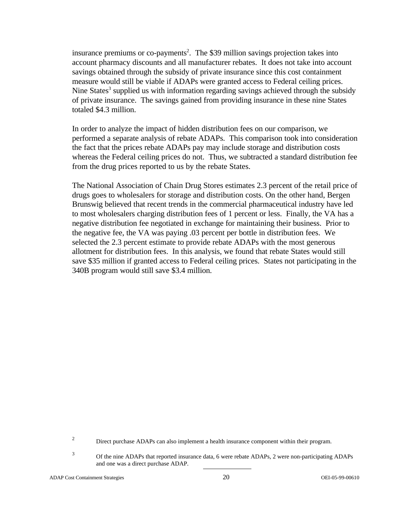insurance premiums or co-payments<sup>2</sup>. The \$39 million savings projection takes into account pharmacy discounts and all manufacturer rebates. It does not take into account savings obtained through the subsidy of private insurance since this cost containment measure would still be viable if ADAPs were granted access to Federal ceiling prices. Nine States<sup>3</sup> supplied us with information regarding savings achieved through the subsidy of private insurance. The savings gained from providing insurance in these nine States totaled \$4.3 million.

In order to analyze the impact of hidden distribution fees on our comparison, we performed a separate analysis of rebate ADAPs. This comparison took into consideration the fact that the prices rebate ADAPs pay may include storage and distribution costs whereas the Federal ceiling prices do not. Thus, we subtracted a standard distribution fee from the drug prices reported to us by the rebate States.

The National Association of Chain Drug Stores estimates 2.3 percent of the retail price of drugs goes to wholesalers for storage and distribution costs. On the other hand, Bergen Brunswig believed that recent trends in the commercial pharmaceutical industry have led to most wholesalers charging distribution fees of 1 percent or less. Finally, the VA has a negative distribution fee negotiated in exchange for maintaining their business. Prior to the negative fee, the VA was paying .03 percent per bottle in distribution fees. We selected the 2.3 percent estimate to provide rebate ADAPs with the most generous allotment for distribution fees. In this analysis, we found that rebate States would still save \$35 million if granted access to Federal ceiling prices. States not participating in the 340B program would still save \$3.4 million.

<sup>2</sup> Direct purchase ADAPs can also implement a health insurance component within their program.

<sup>3</sup> Of the nine ADAPs that reported insurance data, 6 were rebate ADAPs, 2 were non-participating ADAPs and one was a direct purchase ADAP.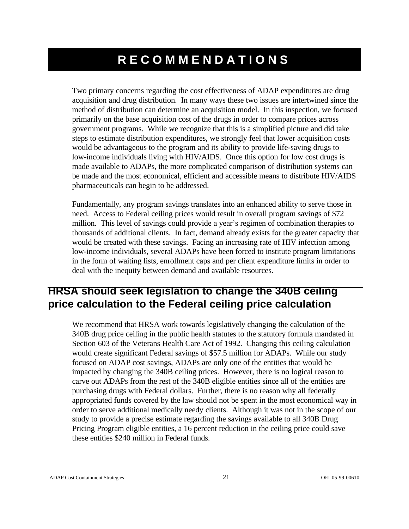## **RECOMMENDATIONS**

Two primary concerns regarding the cost effectiveness of ADAP expenditures are drug acquisition and drug distribution. In many ways these two issues are intertwined since the method of distribution can determine an acquisition model. In this inspection, we focused primarily on the base acquisition cost of the drugs in order to compare prices across government programs. While we recognize that this is a simplified picture and did take steps to estimate distribution expenditures, we strongly feel that lower acquisition costs would be advantageous to the program and its ability to provide life-saving drugs to low-income individuals living with HIV/AIDS. Once this option for low cost drugs is made available to ADAPs, the more complicated comparison of distribution systems can be made and the most economical, efficient and accessible means to distribute HIV/AIDS pharmaceuticals can begin to be addressed.

Fundamentally, any program savings translates into an enhanced ability to serve those in need. Access to Federal ceiling prices would result in overall program savings of \$72 million. This level of savings could provide a year's regimen of combination therapies to thousands of additional clients. In fact, demand already exists for the greater capacity that would be created with these savings. Facing an increasing rate of HIV infection among low-income individuals, several ADAPs have been forced to institute program limitations in the form of waiting lists, enrollment caps and per client expenditure limits in order to deal with the inequity between demand and available resources.

## **HRSA should seek legislation to change the 340B ceiling price calculation to the Federal ceiling price calculation**

We recommend that HRSA work towards legislatively changing the calculation of the 340B drug price ceiling in the public health statutes to the statutory formula mandated in Section 603 of the Veterans Health Care Act of 1992. Changing this ceiling calculation would create significant Federal savings of \$57.5 million for ADAPs. While our study focused on ADAP cost savings, ADAPs are only one of the entities that would be impacted by changing the 340B ceiling prices. However, there is no logical reason to carve out ADAPs from the rest of the 340B eligible entities since all of the entities are purchasing drugs with Federal dollars. Further, there is no reason why all federally appropriated funds covered by the law should not be spent in the most economical way in order to serve additional medically needy clients. Although it was not in the scope of our study to provide a precise estimate regarding the savings available to all 340B Drug Pricing Program eligible entities, a 16 percent reduction in the ceiling price could save these entities \$240 million in Federal funds.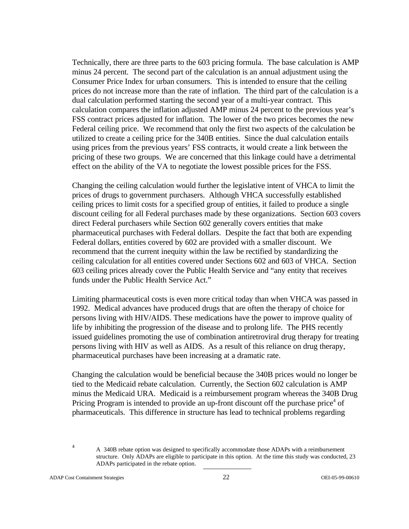Technically, there are three parts to the 603 pricing formula. The base calculation is AMP minus 24 percent. The second part of the calculation is an annual adjustment using the Consumer Price Index for urban consumers. This is intended to ensure that the ceiling prices do not increase more than the rate of inflation. The third part of the calculation is a dual calculation performed starting the second year of a multi-year contract. This calculation compares the inflation adjusted AMP minus 24 percent to the previous year's FSS contract prices adjusted for inflation. The lower of the two prices becomes the new Federal ceiling price. We recommend that only the first two aspects of the calculation be utilized to create a ceiling price for the 340B entities. Since the dual calculation entails using prices from the previous years' FSS contracts, it would create a link between the pricing of these two groups. We are concerned that this linkage could have a detrimental effect on the ability of the VA to negotiate the lowest possible prices for the FSS.

Changing the ceiling calculation would further the legislative intent of VHCA to limit the prices of drugs to government purchasers. Although VHCA successfully established ceiling prices to limit costs for a specified group of entities, it failed to produce a single discount ceiling for all Federal purchases made by these organizations. Section 603 covers direct Federal purchasers while Section 602 generally covers entities that make pharmaceutical purchases with Federal dollars. Despite the fact that both are expending Federal dollars, entities covered by 602 are provided with a smaller discount. We recommend that the current inequity within the law be rectified by standardizing the ceiling calculation for all entities covered under Sections 602 and 603 of VHCA. Section 603 ceiling prices already cover the Public Health Service and "any entity that receives funds under the Public Health Service Act."

Limiting pharmaceutical costs is even more critical today than when VHCA was passed in 1992. Medical advances have produced drugs that are often the therapy of choice for persons living with HIV/AIDS. These medications have the power to improve quality of life by inhibiting the progression of the disease and to prolong life. The PHS recently issued guidelines promoting the use of combination antiretroviral drug therapy for treating persons living with HIV as well as AIDS. As a result of this reliance on drug therapy, pharmaceutical purchases have been increasing at a dramatic rate.

Changing the calculation would be beneficial because the 340B prices would no longer be tied to the Medicaid rebate calculation. Currently, the Section 602 calculation is AMP minus the Medicaid URA. Medicaid is a reimbursement program whereas the 340B Drug Pricing Program is intended to provide an up-front discount off the purchase price<sup>4</sup> of pharmaceuticals. This difference in structure has lead to technical problems regarding

<sup>&</sup>lt;sup>4</sup> A 340B rebate option was designed to specifically accommodate those ADAPs with a reimbursement structure. Only ADAPs are eligible to participate in this option. At the time this study was conducted, 23 ADAPs participated in the rebate option.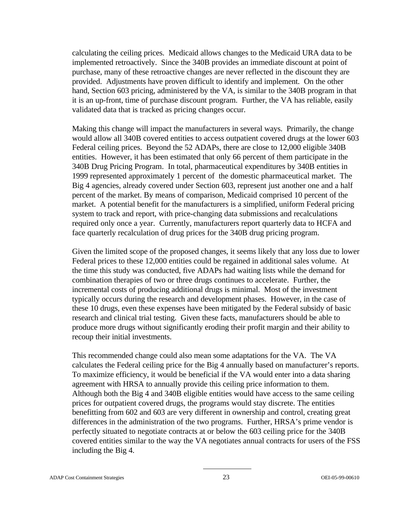calculating the ceiling prices. Medicaid allows changes to the Medicaid URA data to be implemented retroactively. Since the 340B provides an immediate discount at point of purchase, many of these retroactive changes are never reflected in the discount they are provided. Adjustments have proven difficult to identify and implement. On the other hand, Section 603 pricing, administered by the VA, is similar to the 340B program in that it is an up-front, time of purchase discount program. Further, the VA has reliable, easily validated data that is tracked as pricing changes occur.

Making this change will impact the manufacturers in several ways. Primarily, the change would allow all 340B covered entities to access outpatient covered drugs at the lower 603 Federal ceiling prices. Beyond the 52 ADAPs, there are close to 12,000 eligible 340B entities. However, it has been estimated that only 66 percent of them participate in the 340B Drug Pricing Program. In total, pharmaceutical expenditures by 340B entities in 1999 represented approximately 1 percent of the domestic pharmaceutical market. The Big 4 agencies, already covered under Section 603, represent just another one and a half percent of the market. By means of comparison, Medicaid comprised 10 percent of the market. A potential benefit for the manufacturers is a simplified, uniform Federal pricing system to track and report, with price-changing data submissions and recalculations required only once a year. Currently, manufacturers report quarterly data to HCFA and face quarterly recalculation of drug prices for the 340B drug pricing program.

Given the limited scope of the proposed changes, it seems likely that any loss due to lower Federal prices to these 12,000 entities could be regained in additional sales volume. At the time this study was conducted, five ADAPs had waiting lists while the demand for combination therapies of two or three drugs continues to accelerate. Further, the incremental costs of producing additional drugs is minimal. Most of the investment typically occurs during the research and development phases. However, in the case of these 10 drugs, even these expenses have been mitigated by the Federal subsidy of basic research and clinical trial testing. Given these facts, manufacturers should be able to produce more drugs without significantly eroding their profit margin and their ability to recoup their initial investments.

This recommended change could also mean some adaptations for the VA. The VA calculates the Federal ceiling price for the Big 4 annually based on manufacturer's reports. To maximize efficiency, it would be beneficial if the VA would enter into a data sharing agreement with HRSA to annually provide this ceiling price information to them. Although both the Big 4 and 340B eligible entities would have access to the same ceiling prices for outpatient covered drugs, the programs would stay discrete. The entities benefitting from 602 and 603 are very different in ownership and control, creating great differences in the administration of the two programs. Further, HRSA's prime vendor is perfectly situated to negotiate contracts at or below the 603 ceiling price for the 340B covered entities similar to the way the VA negotiates annual contracts for users of the FSS including the Big 4.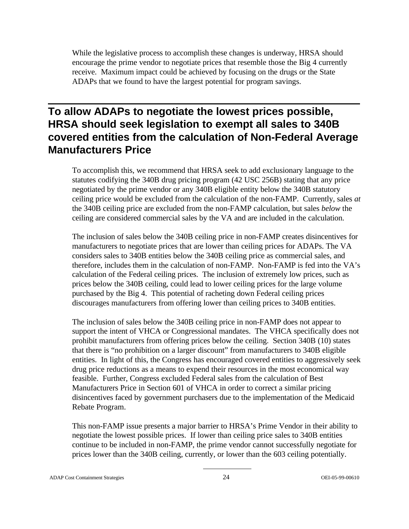While the legislative process to accomplish these changes is underway, HRSA should encourage the prime vendor to negotiate prices that resemble those the Big 4 currently receive. Maximum impact could be achieved by focusing on the drugs or the State ADAPs that we found to have the largest potential for program savings.

## **To allow ADAPs to negotiate the lowest prices possible, HRSA should seek legislation to exempt all sales to 340B covered entities from the calculation of Non-Federal Average Manufacturers Price**

To accomplish this, we recommend that HRSA seek to add exclusionary language to the statutes codifying the 340B drug pricing program (42 USC 256B) stating that any price negotiated by the prime vendor or any 340B eligible entity below the 340B statutory ceiling price would be excluded from the calculation of the non-FAMP. Currently, sales *at*  the 340B ceiling price are excluded from the non-FAMP calculation, but sales *below* the ceiling are considered commercial sales by the VA and are included in the calculation.

The inclusion of sales below the 340B ceiling price in non-FAMP creates disincentives for manufacturers to negotiate prices that are lower than ceiling prices for ADAPs. The VA considers sales to 340B entities below the 340B ceiling price as commercial sales, and therefore, includes them in the calculation of non-FAMP. Non-FAMP is fed into the VA's calculation of the Federal ceiling prices. The inclusion of extremely low prices, such as prices below the 340B ceiling, could lead to lower ceiling prices for the large volume purchased by the Big 4. This potential of racheting down Federal ceiling prices discourages manufacturers from offering lower than ceiling prices to 340B entities.

The inclusion of sales below the 340B ceiling price in non-FAMP does not appear to support the intent of VHCA or Congressional mandates. The VHCA specifically does not prohibit manufacturers from offering prices below the ceiling. Section 340B (10) states that there is "no prohibition on a larger discount" from manufacturers to 340B eligible entities. In light of this, the Congress has encouraged covered entities to aggressively seek drug price reductions as a means to expend their resources in the most economical way feasible. Further, Congress excluded Federal sales from the calculation of Best Manufacturers Price in Section 601 of VHCA in order to correct a similar pricing disincentives faced by government purchasers due to the implementation of the Medicaid Rebate Program.

This non-FAMP issue presents a major barrier to HRSA's Prime Vendor in their ability to negotiate the lowest possible prices. If lower than ceiling price sales to 340B entities continue to be included in non-FAMP, the prime vendor cannot successfully negotiate for prices lower than the 340B ceiling, currently, or lower than the 603 ceiling potentially.

ADAP Cost Containment Strategies 24 OEI-05-99-00610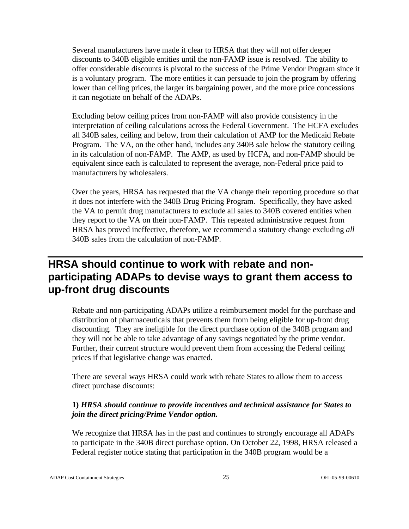Several manufacturers have made it clear to HRSA that they will not offer deeper discounts to 340B eligible entities until the non-FAMP issue is resolved. The ability to offer considerable discounts is pivotal to the success of the Prime Vendor Program since it is a voluntary program. The more entities it can persuade to join the program by offering lower than ceiling prices, the larger its bargaining power, and the more price concessions it can negotiate on behalf of the ADAPs.

Excluding below ceiling prices from non-FAMP will also provide consistency in the interpretation of ceiling calculations across the Federal Government. The HCFA excludes all 340B sales, ceiling and below, from their calculation of AMP for the Medicaid Rebate Program. The VA, on the other hand, includes any 340B sale below the statutory ceiling in its calculation of non-FAMP. The AMP, as used by HCFA, and non-FAMP should be equivalent since each is calculated to represent the average, non-Federal price paid to manufacturers by wholesalers.

Over the years, HRSA has requested that the VA change their reporting procedure so that it does not interfere with the 340B Drug Pricing Program. Specifically, they have asked the VA to permit drug manufacturers to exclude all sales to 340B covered entities when they report to the VA on their non-FAMP. This repeated administrative request from HRSA has proved ineffective, therefore, we recommend a statutory change excluding *all*  340B sales from the calculation of non-FAMP.

## **HRSA should continue to work with rebate and nonparticipating ADAPs to devise ways to grant them access to up-front drug discounts**

Rebate and non-participating ADAPs utilize a reimbursement model for the purchase and distribution of pharmaceuticals that prevents them from being eligible for up-front drug discounting. They are ineligible for the direct purchase option of the 340B program and they will not be able to take advantage of any savings negotiated by the prime vendor. Further, their current structure would prevent them from accessing the Federal ceiling prices if that legislative change was enacted.

There are several ways HRSA could work with rebate States to allow them to access direct purchase discounts:

#### **1)** *HRSA should continue to provide incentives and technical assistance for States to join the direct pricing/Prime Vendor option.*

We recognize that HRSA has in the past and continues to strongly encourage all ADAPs to participate in the 340B direct purchase option. On October 22, 1998, HRSA released a Federal register notice stating that participation in the 340B program would be a

ADAP Cost Containment Strategies 25 OEI-05-99-00610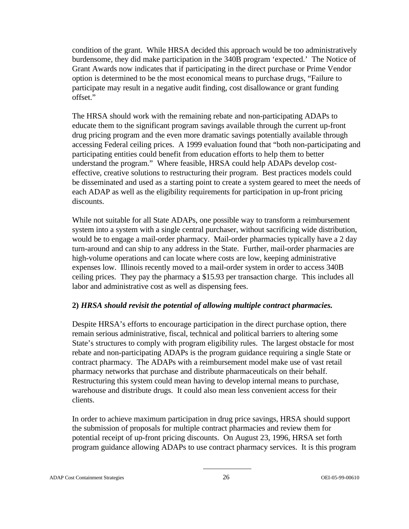condition of the grant. While HRSA decided this approach would be too administratively burdensome, they did make participation in the 340B program 'expected.' The Notice of Grant Awards now indicates that if participating in the direct purchase or Prime Vendor option is determined to be the most economical means to purchase drugs, "Failure to participate may result in a negative audit finding, cost disallowance or grant funding offset."

The HRSA should work with the remaining rebate and non-participating ADAPs to educate them to the significant program savings available through the current up-front drug pricing program and the even more dramatic savings potentially available through accessing Federal ceiling prices. A 1999 evaluation found that "both non-participating and participating entities could benefit from education efforts to help them to better understand the program." Where feasible, HRSA could help ADAPs develop costeffective, creative solutions to restructuring their program. Best practices models could be disseminated and used as a starting point to create a system geared to meet the needs of each ADAP as well as the eligibility requirements for participation in up-front pricing discounts.

While not suitable for all State ADAPs, one possible way to transform a reimbursement system into a system with a single central purchaser, without sacrificing wide distribution, would be to engage a mail-order pharmacy. Mail-order pharmacies typically have a 2 day turn-around and can ship to any address in the State. Further, mail-order pharmacies are high-volume operations and can locate where costs are low, keeping administrative expenses low. Illinois recently moved to a mail-order system in order to access 340B ceiling prices. They pay the pharmacy a \$15.93 per transaction charge. This includes all labor and administrative cost as well as dispensing fees.

#### **2)** *HRSA should revisit the potential of allowing multiple contract pharmacies.*

Despite HRSA's efforts to encourage participation in the direct purchase option, there remain serious administrative, fiscal, technical and political barriers to altering some State's structures to comply with program eligibility rules. The largest obstacle for most rebate and non-participating ADAPs is the program guidance requiring a single State or contract pharmacy. The ADAPs with a reimbursement model make use of vast retail pharmacy networks that purchase and distribute pharmaceuticals on their behalf. Restructuring this system could mean having to develop internal means to purchase, warehouse and distribute drugs. It could also mean less convenient access for their clients.

In order to achieve maximum participation in drug price savings, HRSA should support the submission of proposals for multiple contract pharmacies and review them for potential receipt of up-front pricing discounts. On August 23, 1996, HRSA set forth program guidance allowing ADAPs to use contract pharmacy services. It is this program

#### ADAP Cost Containment Strategies 26 OEI-05-99-00610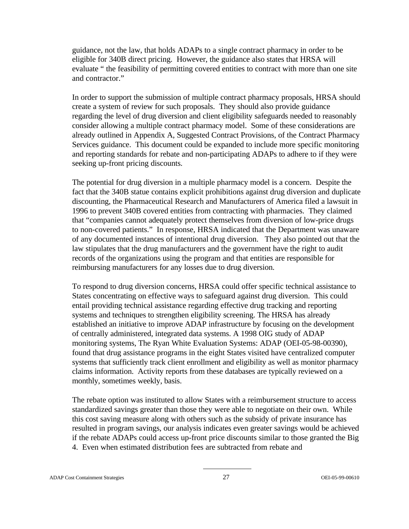guidance, not the law, that holds ADAPs to a single contract pharmacy in order to be eligible for 340B direct pricing. However, the guidance also states that HRSA will evaluate " the feasibility of permitting covered entities to contract with more than one site and contractor."

In order to support the submission of multiple contract pharmacy proposals, HRSA should create a system of review for such proposals. They should also provide guidance regarding the level of drug diversion and client eligibility safeguards needed to reasonably consider allowing a multiple contract pharmacy model. Some of these considerations are already outlined in Appendix A, Suggested Contract Provisions, of the Contract Pharmacy Services guidance. This document could be expanded to include more specific monitoring and reporting standards for rebate and non-participating ADAPs to adhere to if they were seeking up-front pricing discounts.

The potential for drug diversion in a multiple pharmacy model is a concern. Despite the fact that the 340B statue contains explicit prohibitions against drug diversion and duplicate discounting, the Pharmaceutical Research and Manufacturers of America filed a lawsuit in 1996 to prevent 340B covered entities from contracting with pharmacies. They claimed that "companies cannot adequately protect themselves from diversion of low-price drugs to non-covered patients." In response, HRSA indicated that the Department was unaware of any documented instances of intentional drug diversion. They also pointed out that the law stipulates that the drug manufacturers and the government have the right to audit records of the organizations using the program and that entities are responsible for reimbursing manufacturers for any losses due to drug diversion.

To respond to drug diversion concerns, HRSA could offer specific technical assistance to States concentrating on effective ways to safeguard against drug diversion. This could entail providing technical assistance regarding effective drug tracking and reporting systems and techniques to strengthen eligibility screening. The HRSA has already established an initiative to improve ADAP infrastructure by focusing on the development of centrally administered, integrated data systems. A 1998 OIG study of ADAP monitoring systems, The Ryan White Evaluation Systems: ADAP (OEI-05-98-00390), found that drug assistance programs in the eight States visited have centralized computer systems that sufficiently track client enrollment and eligibility as well as monitor pharmacy claims information. Activity reports from these databases are typically reviewed on a monthly, sometimes weekly, basis.

The rebate option was instituted to allow States with a reimbursement structure to access standardized savings greater than those they were able to negotiate on their own. While this cost saving measure along with others such as the subsidy of private insurance has resulted in program savings, our analysis indicates even greater savings would be achieved if the rebate ADAPs could access up-front price discounts similar to those granted the Big 4. Even when estimated distribution fees are subtracted from rebate and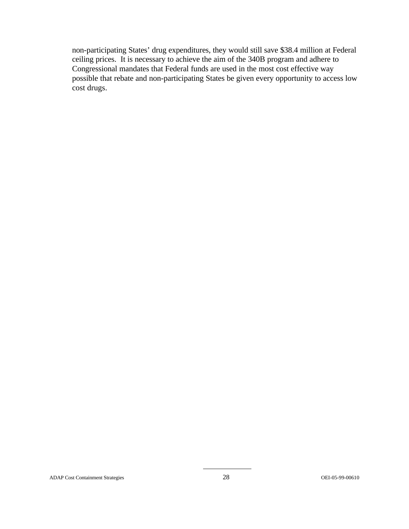non-participating States' drug expenditures, they would still save \$38.4 million at Federal ceiling prices. It is necessary to achieve the aim of the 340B program and adhere to Congressional mandates that Federal funds are used in the most cost effective way possible that rebate and non-participating States be given every opportunity to access low cost drugs.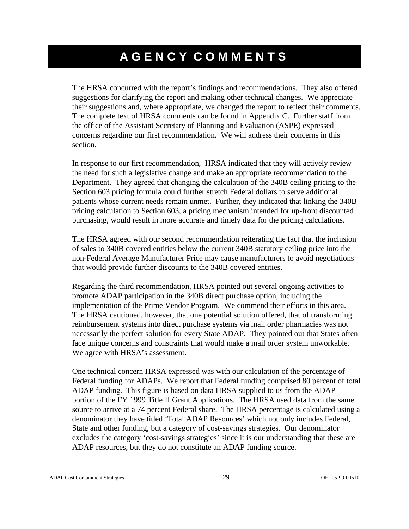## **AGENCY COMMENTS**

The HRSA concurred with the report's findings and recommendations. They also offered suggestions for clarifying the report and making other technical changes. We appreciate their suggestions and, where appropriate, we changed the report to reflect their comments. The complete text of HRSA comments can be found in Appendix C. Further staff from the office of the Assistant Secretary of Planning and Evaluation (ASPE) expressed concerns regarding our first recommendation. We will address their concerns in this section.

In response to our first recommendation, HRSA indicated that they will actively review the need for such a legislative change and make an appropriate recommendation to the Department. They agreed that changing the calculation of the 340B ceiling pricing to the Section 603 pricing formula could further stretch Federal dollars to serve additional patients whose current needs remain unmet. Further, they indicated that linking the 340B pricing calculation to Section 603, a pricing mechanism intended for up-front discounted purchasing, would result in more accurate and timely data for the pricing calculations.

The HRSA agreed with our second recommendation reiterating the fact that the inclusion of sales to 340B covered entities below the current 340B statutory ceiling price into the non-Federal Average Manufacturer Price may cause manufacturers to avoid negotiations that would provide further discounts to the 340B covered entities.

Regarding the third recommendation, HRSA pointed out several ongoing activities to promote ADAP participation in the 340B direct purchase option, including the implementation of the Prime Vendor Program. We commend their efforts in this area. The HRSA cautioned, however, that one potential solution offered, that of transforming reimbursement systems into direct purchase systems via mail order pharmacies was not necessarily the perfect solution for every State ADAP. They pointed out that States often face unique concerns and constraints that would make a mail order system unworkable. We agree with HRSA's assessment.

One technical concern HRSA expressed was with our calculation of the percentage of Federal funding for ADAPs. We report that Federal funding comprised 80 percent of total ADAP funding. This figure is based on data HRSA supplied to us from the ADAP portion of the FY 1999 Title II Grant Applications. The HRSA used data from the same source to arrive at a 74 percent Federal share. The HRSA percentage is calculated using a denominator they have titled 'Total ADAP Resources' which not only includes Federal, State and other funding, but a category of cost-savings strategies. Our denominator excludes the category 'cost-savings strategies' since it is our understanding that these are ADAP resources, but they do not constitute an ADAP funding source.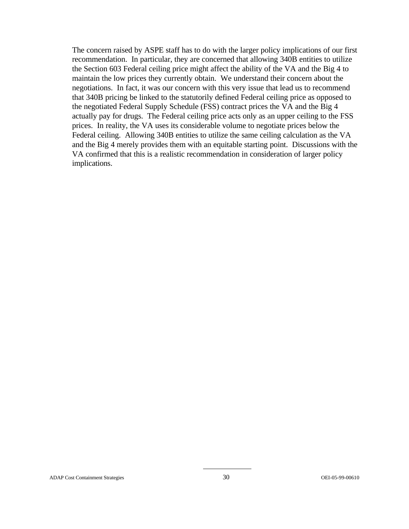The concern raised by ASPE staff has to do with the larger policy implications of our first recommendation. In particular, they are concerned that allowing 340B entities to utilize the Section 603 Federal ceiling price might affect the ability of the VA and the Big 4 to maintain the low prices they currently obtain. We understand their concern about the negotiations. In fact, it was our concern with this very issue that lead us to recommend that 340B pricing be linked to the statutorily defined Federal ceiling price as opposed to the negotiated Federal Supply Schedule (FSS) contract prices the VA and the Big 4 actually pay for drugs. The Federal ceiling price acts only as an upper ceiling to the FSS prices. In reality, the VA uses its considerable volume to negotiate prices below the Federal ceiling. Allowing 340B entities to utilize the same ceiling calculation as the VA and the Big 4 merely provides them with an equitable starting point. Discussions with the VA confirmed that this is a realistic recommendation in consideration of larger policy implications.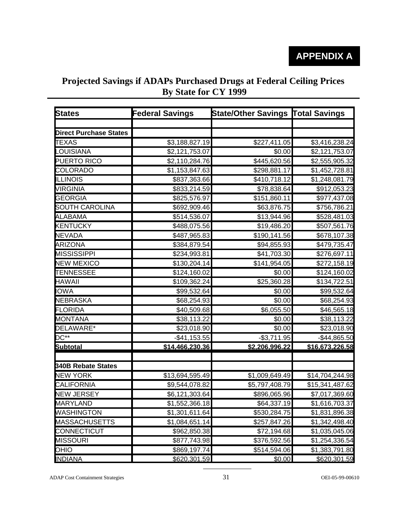## **Projected Savings if ADAPs Purchased Drugs at Federal Ceiling Prices By State for CY 1999**

| <b>States</b>                 | <b>Federal Savings</b> | State/Other Savings Total Savings |                          |
|-------------------------------|------------------------|-----------------------------------|--------------------------|
|                               |                        |                                   |                          |
| <b>Direct Purchase States</b> |                        |                                   |                          |
| <b>TEXAS</b>                  | \$3,188,827.19         | \$227,411.05                      | \$3,416,238.24           |
| <b>LOUISIANA</b>              | \$2,121,753.07         | \$0.00                            | \$2,121,753.07           |
| PUERTO RICO                   | \$2,110,284.76         | \$445,620.56                      | \$2,555,905.32           |
| COLORADO                      | \$1,153,847.63         | \$298,881.17                      | \$1,452,728.81           |
| <b>ILLINOIS</b>               | \$837,363.66           | \$410,718.12                      | \$1,248,081.79           |
| VIRGINIA                      | \$833,214.59           | \$78,838.64                       | \$912,053.23             |
| <b>GEORGIA</b>                | \$825,576.97           | \$151,860.11                      | \$977,437.08             |
| <b>SOUTH CAROLINA</b>         | \$692,909.46           | \$63,876.75                       | \$756,786.21             |
| <b>ALABAMA</b>                | \$514,536.07           | \$13,944.96                       | \$528,481.03             |
| <b>KENTUCKY</b>               | \$488,075.56           | $\overline{$}19,486.20$           | \$507,561.76             |
| <b>NEVADA</b>                 | \$487,965.83           | \$190,141.56                      | \$678,107.38             |
| <b>ARIZONA</b>                | \$384,879.54           | \$94,855.93                       | \$479,735.47             |
| <b>MISSISSIPPI</b>            | \$234,993.81           | \$41,703.30                       | \$276,697.11             |
| <b>NEW MEXICO</b>             | \$130,204.14           | \$141,954.05                      | \$272,158.19             |
| <b>TENNESSEE</b>              | \$124,160.02           | \$0.00                            | $\overline{$124,160.02}$ |
| <b>HAWAII</b>                 | \$109,362.24           | \$25,360.28                       | \$134,722.51             |
| <b>IOWA</b>                   | \$99,532.64            | \$0.00                            | \$99,532.64              |
| <b>NEBRASKA</b>               | \$68,254.93            | \$0.00                            | \$68,254.93              |
| <b>FLORIDA</b>                | \$40,509.68            | \$6,055.50                        | \$46,565.18              |
| <b>MONTANA</b>                | \$38,113.22            | \$0.00                            | \$38,113.22              |
| DELAWARE*                     | \$23,018.90            | \$0.00                            | \$23,018.90              |
| $DC^{**}$                     | $-$ \$41,153.55        | $-$ \$3,711.95                    | $-$ \$44,865.50          |
| <b>Subtotal</b>               | \$14,466,230.36        | \$2,206,996.22                    | \$16,673,226.58          |
| <b>340B Rebate States</b>     |                        |                                   |                          |
| <b>NEW YORK</b>               | \$13,694,595.49        | \$1,009,649.49                    | \$14,704,244.98          |
| CALIFORNIA                    | \$9,544,078.82         | \$5,797,408.79                    | \$15,341,487.62          |
| <b>NEW JERSEY</b>             | \$6,121,303.64         | \$896,065.96                      | \$7,017,369.60           |
| <b>MARYLAND</b>               | \$1.552.366.18         | \$64.337.19                       | \$1.616.703.37           |
| <b>WASHINGTON</b>             | \$1,301,611.64         | \$530,284.75                      | \$1,831,896.38           |
| <b>MASSACHUSETTS</b>          | \$1,084,651.14         | \$257,847.26                      | \$1,342,498.40           |
| CONNECTICUT                   | \$962,850.38           | \$72,194.68                       | \$1,035,045.06           |
| <b>MISSOURI</b>               | \$877,743.98           | \$376,592.56                      | \$1,254,336.54           |
| <b>OHIO</b>                   | \$869,197.74           | $\overline{$}514,594.06$          | \$1,383,791.80           |
| <b>INDIANA</b>                | \$620.301.59           | \$0.00                            | \$620.301.59             |

ADAP Cost Containment Strategies 31 OEI-05-99-00610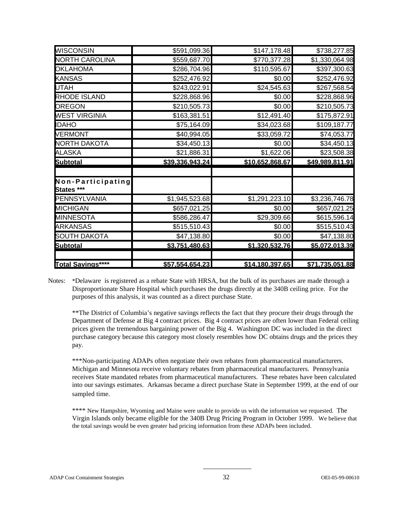| <b>Total Savings****</b>        | \$57.554.654.23 | \$14.180.397.65 | \$71.735.051.88 |
|---------------------------------|-----------------|-----------------|-----------------|
|                                 |                 |                 |                 |
| <b>Subtotal</b>                 | \$3.751.480.63  | \$1.320.532.76  | \$5.072.013.39  |
| <b>SOUTH DAKOTA</b>             | \$47,138.80     | \$0.00          | \$47,138.80     |
| <b>ARKANSAS</b>                 | \$515,510.43    | \$0.00          | \$515,510.43    |
| <b>MINNESOTA</b>                | \$586,286.47    | \$29,309.66     | \$615,596.14    |
| <b>MICHIGAN</b>                 | \$657,021.25    | \$0.00          | \$657,021.25    |
| PENNSYLVANIA                    | \$1,945,523.68  | \$1,291,223.10  | \$3,236,746.78  |
| Non-Participating<br>States *** |                 |                 |                 |
| <b>Subtotal</b>                 | \$39,336,943.24 | \$10,652,868.67 | \$49,989,811.91 |
| <b>ALASKA</b>                   | \$21,886.31     | \$1,622.06      | \$23,508.38     |
| <b>NORTH DAKOTA</b>             | \$34,450.13     | \$0.00          | \$34,450.13     |
| <b>VERMONT</b>                  | \$40,994.05     | \$33,059.72     | \$74,053.77     |
| <b>IDAHO</b>                    | \$75,164.09     | \$34,023.68     | \$109,187.77    |
| <b>WEST VIRGINIA</b>            | \$163,381.51    | \$12,491.40     | \$175,872.91    |
| <b>OREGON</b>                   | \$210,505.73    | \$0.00          | \$210,505.73    |
| <b>RHODE ISLAND</b>             | \$228,868.96    | \$0.00          | \$228,868.96    |
| <b>UTAH</b>                     | \$243,022.91    | \$24,545.63     | \$267,568.54    |
| <b>KANSAS</b>                   | \$252,476.92    | \$0.00          | \$252,476.92    |
| <b>OKLAHOMA</b>                 | \$286,704.96    | \$110,595.67    | \$397,300.63    |
| <b>NORTH CAROLINA</b>           | \$559,687.70    | \$770,377.28    | \$1,330,064.98  |
| <b>WISCONSIN</b>                | \$591,099.36    | \$147,178.48    | \$738,277.85    |

Notes: \*Delaware is registered as a rebate State with HRSA, but the bulk of its purchases are made through a Disproportionate Share Hospital which purchases the drugs directly at the 340B ceiling price. For the purposes of this analysis, it was counted as a direct purchase State.

\*\*The District of Columbia's negative savings reflects the fact that they procure their drugs through the Department of Defense at Big 4 contract prices. Big 4 contract prices are often lower than Federal ceiling prices given the tremendous bargaining power of the Big 4. Washington DC was included in the direct purchase category because this category most closely resembles how DC obtains drugs and the prices they pay.

\*\*\*Non-participating ADAPs often negotiate their own rebates from pharmaceutical manufacturers. Michigan and Minnesota receive voluntary rebates from pharmaceutical manufacturers. Pennsylvania receives State mandated rebates from pharmaceutical manufacturers. These rebates have been calculated into our savings estimates. Arkansas became a direct purchase State in September 1999, at the end of our sampled time.

\*\*\*\* New Hampshire, Wyoming and Maine were unable to provide us with the information we requested. The Virgin Islands only became eligible for the 340B Drug Pricing Program in October 1999. We believe that the total savings would be even greater had pricing information from these ADAPs been included.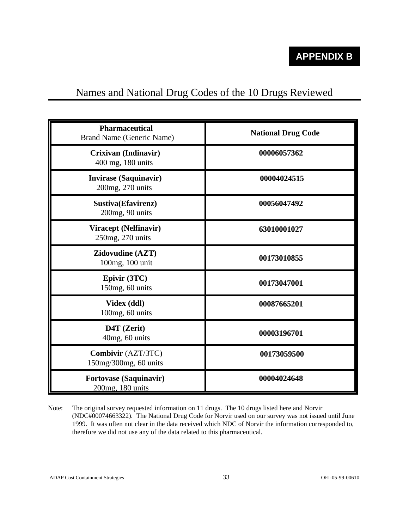## Names and National Drug Codes of the 10 Drugs Reviewed

| <b>Pharmaceutical</b><br>Brand Name (Generic Name) | <b>National Drug Code</b> |
|----------------------------------------------------|---------------------------|
| Crixivan (Indinavir)<br>400 mg, 180 units          | 00006057362               |
| <b>Invirase (Saquinavir)</b><br>200mg, 270 units   | 00004024515               |
| Sustiva(Efavirenz)<br>200mg, 90 units              | 00056047492               |
| Viracept (Nelfinavir)<br>250mg, 270 units          | 63010001027               |
| Zidovudine (AZT)<br>100mg, 100 unit                | 00173010855               |
| Epivir (3TC)<br>150mg, 60 units                    | 00173047001               |
| Videx (ddl)<br>100mg, 60 units                     | 00087665201               |
| D4T (Zerit)<br>40mg, 60 units                      | 00003196701               |
| Combivir (AZT/3TC)<br>150mg/300mg, 60 units        | 00173059500               |
| <b>Fortovase (Saquinavir)</b><br>200mg, 180 units  | 00004024648               |

Note: The original survey requested information on 11 drugs. The 10 drugs listed here and Norvir (NDC#00074663322). The National Drug Code for Norvir used on our survey was not issued until June 1999. It was often not clear in the data received which NDC of Norvir the information corresponded to, therefore we did not use any of the data related to this pharmaceutical.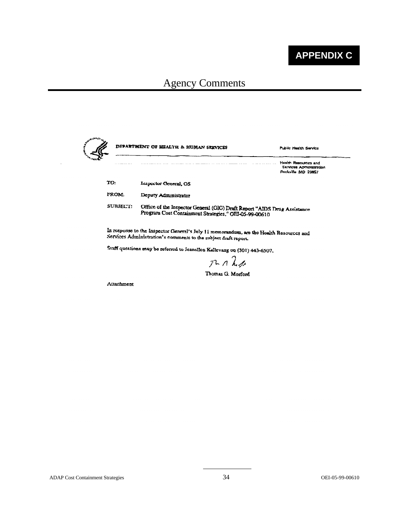

| والمتعقدين<br>مي<br>و |          | DEPARTMENT OF HEALTH & HUMAN SERVICES                                                                                             | Public Health Service                                                        |  |
|-----------------------|----------|-----------------------------------------------------------------------------------------------------------------------------------|------------------------------------------------------------------------------|--|
|                       |          |                                                                                                                                   | Health Resources and<br><b>Sarvices Administration</b><br>Rockville MD 20857 |  |
|                       | TO:      | Inspector General, OS                                                                                                             |                                                                              |  |
|                       | FROM:    | Deputy Administrator                                                                                                              |                                                                              |  |
|                       | SURJECT: | Office of the Inspector General (OIG) Draft Report "AIDS Drug Assistance<br>Program Cost Containment Strategies," OEI-05-99-00610 |                                                                              |  |

In response to the Inspector General's July 11 memorandum, are the Health Resources and Services Administration's comments to the subject draft report.

Staff questions may be referred to Jeanellen Kallevang on (301) 443-6507.

 $RALA$ 

Thomas G. Morford

Attachment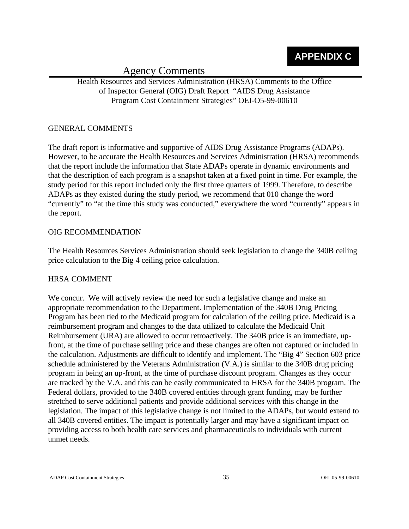Health Resources and Services Administration (HRSA) Comments to the Office of Inspector General (OIG) Draft Report "AIDS Drug Assistance Program Cost Containment Strategies" OEI-O5-99-00610

#### GENERAL COMMENTS

The draft report is informative and supportive of AIDS Drug Assistance Programs (ADAPs). However, to be accurate the Health Resources and Services Administration (HRSA) recommends that the report include the information that State ADAPs operate in dynamic environments and that the description of each program is a snapshot taken at a fixed point in time. For example, the study period for this report included only the first three quarters of 1999. Therefore, to describe ADAPs as they existed during the study period, we recommend that 010 change the word "currently" to "at the time this study was conducted," everywhere the word "currently" appears in the report.

#### OIG RECOMMENDATION

The Health Resources Services Administration should seek legislation to change the 340B ceiling price calculation to the Big 4 ceiling price calculation.

#### HRSA COMMENT

We concur. We will actively review the need for such a legislative change and make an appropriate recommendation to the Department. Implementation of the 340B Drug Pricing Program has been tied to the Medicaid program for calculation of the ceiling price. Medicaid is a reimbursement program and changes to the data utilized to calculate the Medicaid Unit Reimbursement (URA) are allowed to occur retroactively. The 340B price is an immediate, upfront, at the time of purchase selling price and these changes are often not captured or included in the calculation. Adjustments are difficult to identify and implement. The "Big 4" Section 603 price schedule administered by the Veterans Administration (V.A.) is similar to the 340B drug pricing program in being an up-front, at the time of purchase discount program. Changes as they occur are tracked by the V.A. and this can be easily communicated to HRSA for the 340B program. The Federal dollars, provided to the 340B covered entities through grant funding, may be further stretched to serve additional patients and provide additional services with this change in the legislation. The impact of this legislative change is not limited to the ADAPs, but would extend to all 340B covered entities. The impact is potentially larger and may have a significant impact on providing access to both health care services and pharmaceuticals to individuals with current unmet needs.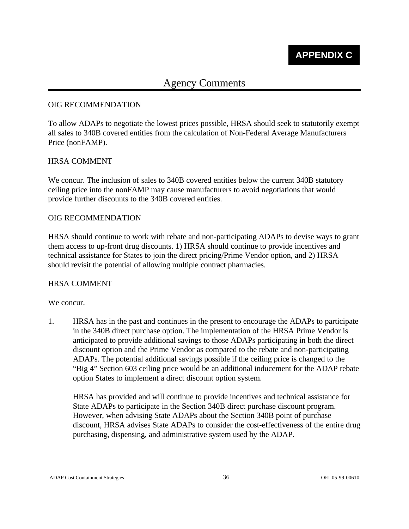#### OIG RECOMMENDATION

To allow ADAPs to negotiate the lowest prices possible, HRSA should seek to statutorily exempt all sales to 340B covered entities from the calculation of Non-Federal Average Manufacturers Price (nonFAMP).

#### HRSA COMMENT

We concur. The inclusion of sales to 340B covered entities below the current 340B statutory ceiling price into the nonFAMP may cause manufacturers to avoid negotiations that would provide further discounts to the 340B covered entities.

#### OIG RECOMMENDATION

HRSA should continue to work with rebate and non-participating ADAPs to devise ways to grant them access to up-front drug discounts. 1) HRSA should continue to provide incentives and technical assistance for States to join the direct pricing/Prime Vendor option, and 2) HRSA should revisit the potential of allowing multiple contract pharmacies.

#### HRSA COMMENT

#### We concur.

1. HRSA has in the past and continues in the present to encourage the ADAPs to participate in the 340B direct purchase option. The implementation of the HRSA Prime Vendor is anticipated to provide additional savings to those ADAPs participating in both the direct discount option and the Prime Vendor as compared to the rebate and non-participating ADAPs. The potential additional savings possible if the ceiling price is changed to the "Big 4" Section 603 ceiling price would be an additional inducement for the ADAP rebate option States to implement a direct discount option system.

HRSA has provided and will continue to provide incentives and technical assistance for State ADAPs to participate in the Section 340B direct purchase discount program. However, when advising State ADAPs about the Section 340B point of purchase discount, HRSA advises State ADAPs to consider the cost-effectiveness of the entire drug purchasing, dispensing, and administrative system used by the ADAP.

#### ADAP Cost Containment Strategies 36 OEI-05-99-00610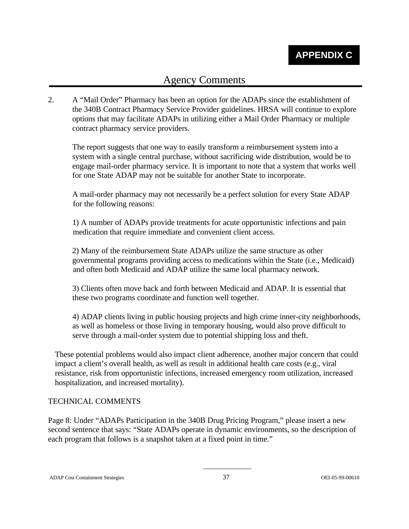2. A "Mail Order" Pharmacy has been an option for the ADAPs since the establishment of the 340B Contract Pharmacy Service Provider guidelines. HRSA will continue to explore options that may facilitate ADAPs in utilizing either a Mail Order Pharmacy or multiple contract pharmacy service providers.

The report suggests that one way to easily transform a reimbursement system into a system with a single central purchase, without sacrificing wide distribution, would be to engage mail-order pharmacy service. It is important to note that a system that works well for one State ADAP may not be suitable for another State to incorporate.

A mail-order pharmacy may not necessarily be a perfect solution for every State ADAP for the following reasons:

1) A number of ADAPs provide treatments for acute opportunistic infections and pain medication that require immediate and convenient client access.

2) Many of the reimbursement State ADAPs utilize the same structure as other governmental programs providing access to medications within the State (i.e., Medicaid) and often both Medicaid and ADAP utilize the same local pharmacy network.

3) Clients often move back and forth between Medicaid and ADAP. It is essential that these two programs coordinate and function well together.

4) ADAP clients living in public housing projects and high crime inner-city neighborhoods, as well as homeless or those living in temporary housing, would also prove difficult to serve through a mail-order system due to potential shipping loss and theft.

These potential problems would also impact client adherence, another major concern that could impact a client's overall health, as well as result in additional health care costs (e.g., viral resistance, risk from opportunistic infections, increased emergency room utilization, increased hospitalization, and increased mortality).

#### TECHNICAL COMMENTS

Page 8: Under "ADAPs Participation in the 340B Drug Pricing Program," please insert a new second sentence that says: "State ADAPs operate in dynamic environments, so the description of each program that follows is a snapshot taken at a fixed point in time."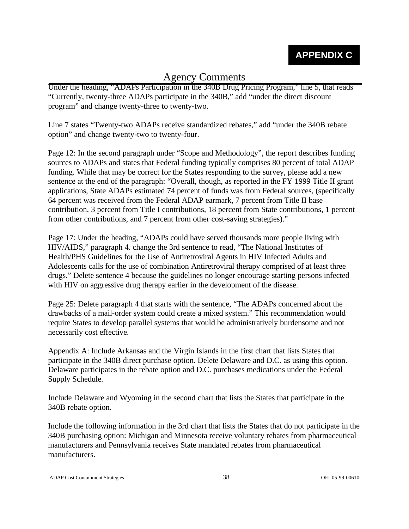Under the heading, "ADAPs Participation in the 340B Drug Pricing Program," line 5, that reads "Currently, twenty-three ADAPs participate in the 340B," add "under the direct discount program" and change twenty-three to twenty-two.

Line 7 states "Twenty-two ADAPs receive standardized rebates," add "under the 340B rebate option" and change twenty-two to twenty-four.

Page 12: In the second paragraph under "Scope and Methodology", the report describes funding sources to ADAPs and states that Federal funding typically comprises 80 percent of total ADAP funding. While that may be correct for the States responding to the survey, please add a new sentence at the end of the paragraph: "Overall, though, as reported in the FY 1999 Title II grant applications, State ADAPs estimated 74 percent of funds was from Federal sources, (specifically 64 percent was received from the Federal ADAP earmark, 7 percent from Title II base contribution, 3 percent from Title I contributions, 18 percent from State contributions, 1 percent from other contributions, and 7 percent from other cost-saving strategies)."

Page 17: Under the heading, "ADAPs could have served thousands more people living with HIV/AIDS," paragraph 4. change the 3rd sentence to read, "The National Institutes of Health/PHS Guidelines for the Use of Antiretroviral Agents in HIV Infected Adults and Adolescents calls for the use of combination Antiretroviral therapy comprised of at least three drugs." Delete sentence 4 because the guidelines no longer encourage starting persons infected with HIV on aggressive drug therapy earlier in the development of the disease.

Page 25: Delete paragraph 4 that starts with the sentence, "The ADAPs concerned about the drawbacks of a mail-order system could create a mixed system." This recommendation would require States to develop parallel systems that would be administratively burdensome and not necessarily cost effective.

Appendix A: Include Arkansas and the Virgin Islands in the first chart that lists States that participate in the 340B direct purchase option. Delete Delaware and D.C. as using this option. Delaware participates in the rebate option and D.C. purchases medications under the Federal Supply Schedule.

Include Delaware and Wyoming in the second chart that lists the States that participate in the 340B rebate option.

Include the following information in the 3rd chart that lists the States that do not participate in the 340B purchasing option: Michigan and Minnesota receive voluntary rebates from pharmaceutical manufacturers and Pennsylvania receives State mandated rebates from pharmaceutical manufacturers.